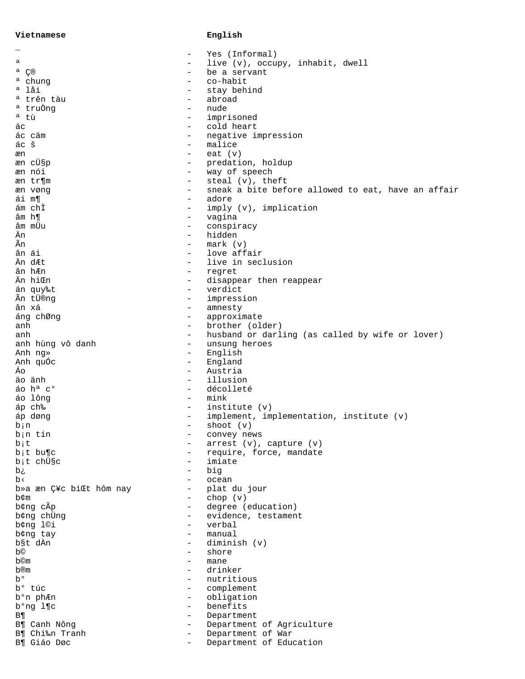## Vietnamese

## $_{\tt English}$

|                                                              | Yes (Informal)                                     |
|--------------------------------------------------------------|----------------------------------------------------|
| а                                                            | live (v), occupy, inhabit, dwell                   |
| a C®<br>-                                                    | be a servant                                       |
| <sup>a</sup> chung                                           | co-habit                                           |
| ª låi<br>-                                                   | stay behind                                        |
| ª trên tàu<br>$\qquad \qquad -$                              | abroad                                             |
| ª truÒng<br>$\qquad \qquad -$                                | nude                                               |
| <sup>a</sup> tù<br>-                                         | imprisoned                                         |
| áс<br>$\overline{\phantom{0}}$                               | cold heart                                         |
| ác cäm<br>$\qquad \qquad -$                                  | negative impression                                |
| ác š<br>$\qquad \qquad -$                                    | malice                                             |
| æn<br>$\qquad \qquad -$                                      | eat $(v)$                                          |
| æn cܧp<br>$\qquad \qquad -$                                  | predation, holdup                                  |
| æn nói<br>$\qquad \qquad -$                                  | way of speech                                      |
|                                                              |                                                    |
| æn tr¶m<br>-                                                 | $\text{steal}(\mathbf{v})$ , theft                 |
| æn vøng<br>$\qquad \qquad -$                                 | sneak a bite before allowed to eat, have an affair |
| ái m¶<br>-                                                   | adore                                              |
| ám chĩ<br>$\qquad \qquad -$                                  | imply (v), implication                             |
| âm h¶<br>$\qquad \qquad -$                                   | vagina                                             |
| âm mÜu<br>-                                                  | conspiracy                                         |
| Än<br>-                                                      | hidden                                             |
| Ãn<br>$\qquad \qquad -$                                      | mark (v)                                           |
| ân ái<br>$\qquad \qquad -$                                   | love affair                                        |
| Än dÆt<br>$\qquad \qquad -$                                  | live in seclusion                                  |
| ân hÆn                                                       | regret                                             |
| Än hiŒn<br>$\qquad \qquad -$                                 | disappear then reappear                            |
| án quy‰t<br>$\qquad \qquad -$                                | verdict                                            |
| Ãn tÜ®ng<br>$\qquad \qquad -$                                | impression                                         |
| ân xá<br>$\qquad \qquad -$                                   | amnesty                                            |
| áng chØng<br>$\qquad \qquad -$                               | approximate                                        |
| anh<br>$\qquad \qquad -$                                     | brother (older)                                    |
| anh<br>$\overline{\phantom{0}}$                              | husband or darling (as called by wife or lover)    |
| $\qquad \qquad -$                                            |                                                    |
| anh hùng vô danh                                             | unsung heroes                                      |
| Anh ng»<br>$\overline{\phantom{0}}$                          | English                                            |
| Anh quốc<br>$\overline{\phantom{m}}$                         | England                                            |
| Áо<br>$\overline{\phantom{m}}$                               | Austria                                            |
| äo änh<br>$\qquad \qquad -$                                  | illusion                                           |
| ão h <sup>a</sup> c <sup>o</sup><br>$\overline{\phantom{m}}$ | décolleté                                          |
| áo lông<br>$\overline{\phantom{m}}$                          | mink                                               |
| áp ch‰<br>$\overline{\phantom{m}}$                           | institute (v)                                      |
| áp døng<br>$\qquad \qquad -$                                 | implement, implementation, institute (v)           |
| bin<br>$\overline{\phantom{0}}$                              | shoot $(v)$                                        |
| b <sub>i</sub> n tin                                         | convey news                                        |
| bit<br>-                                                     | $arrest (v)$ , capture $(v)$                       |
| $b$ <sub>i</sub> t bu¶c<br>-                                 | require, force, mandate                            |
| b <sub>i</sub> t chüsc<br>-                                  | imiate                                             |
| ιά<br>-                                                      | big                                                |
| b<<br>-                                                      | ocean                                              |
| b»a æn Ç¥c biŒt hôm nay<br>-                                 | plat du jour                                       |
| b¢m<br>-                                                     | chop $(v)$                                         |
| b¢ng cÃp<br>$\qquad \qquad -$                                | degree (education)                                 |
| b¢ng chÙng<br>$\qquad \qquad -$                              | evidence, testament                                |
| b¢ng l©i<br>$\overline{\phantom{0}}$                         | verbal                                             |
| b¢ng tay<br>-                                                | manual                                             |
| b§t dÀn<br>-                                                 | diminish (v)                                       |
| b©<br>-                                                      | shore                                              |
|                                                              |                                                    |
| b©m<br>-                                                     | mane                                               |
| b®m<br>-                                                     | drinker                                            |
| b°<br>$\overline{\phantom{0}}$                               | nutritious                                         |
| b <sup>o</sup> túc<br>$\overline{\phantom{0}}$               | complement                                         |
| b <sup>o</sup> n phÆn<br>$\qquad \qquad -$                   | obligation                                         |
| b <sup>o</sup> ng l¶c<br>-                                   | benefits                                           |
| <b>B</b><br>$\overline{\phantom{0}}$                         | Department                                         |
| B¶ Canh Nông<br>$\overline{\phantom{0}}$                     | Department of Agriculture                          |
| B¶ Chi‰n Tranh<br>$\qquad \qquad -$                          | Department of War                                  |
| B¶ Giáo Døc<br>-                                             | Department of Education                            |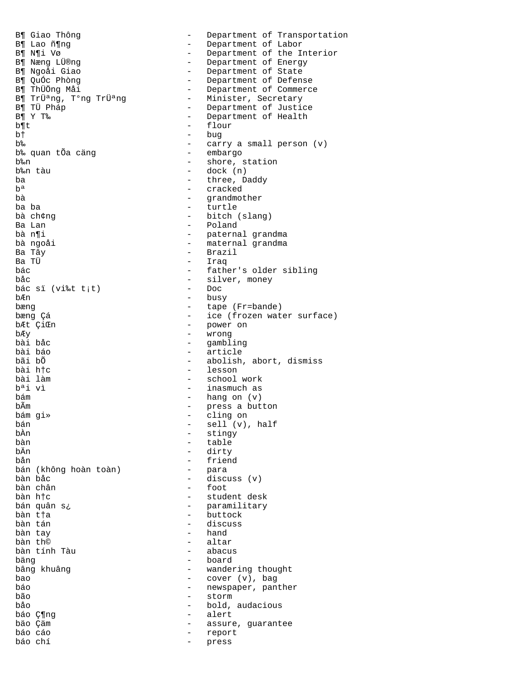B¶ Giao Thông - Department of Transportation<br>B¶ Lao ñ¶ng - Department of Labor B¶ Lao ñ¶ng - Department of Labor B¶ N¶i Vø - Department of the Interior B¶ Næng LÜ®ng - Department of Energy B¶ Ngoåi Giao - Department of State B¶ QuÓc Phòng - Department of Defense B¶ ThÜÖng Måi - Department of Commerce B¶ Trܪng, T°ng Trܪng Minister, Secretary B¶ TÜ Pháp  $\overline{B}$  =  $\overline{B}$  =  $\overline{B}$  = Department of Justice<br>B¶ Y T‰ B¶ Y T‰ - Department of Health<br>b¶t - flour - flour b† - bug b‰ - carry a small person (v) b‰ quan tÕa cäng b‰n  $\overline{\phantom{a}}$  - shore, station  $\overline{\phantom{a}}$  - shore, station  $\overline{\phantom{a}}$ - dock  $(n)$ ba - three, Daddy - three, Daddy - three, Daddy - three, Daddy - three, Daddy - three, Daddy - three, Daddy - three, Daddy - three, Daddy - three, Daddy - three, Daddy - three, Daddy - three, Daddy - three, Daddy - three, bª - cracked bà - grandmother ba ba - turtle bà ch¢ng - bitch (slang) Ba Lan - Poland bà n¶i - paternal grandma<br>bà ngoåi - - - - - - - - - - - maternal grandma bà ngoåi - maternal grandma Ba Tây - Brazil - Iraq bác - father's older sibling - silver, money<br>- Doc bác sï (vi‰t t¡t)<br>bÆn bÆn - busy bæng  $\begin{array}{cccc} \hbox{bæng} & - & \hbox{tape (Fr=bande)} \\ \hbox{bæng Gá} & - & \hbox{ice (frozen wat} \end{array}$ bæng Çá - ice (frozen water surface) bÆt ÇiŒn  $\overline{E}$  - power on  $\overline{E}$ bÆy - wrong bài båc<br>bài båc<br>bài báo - article bài báo - article bãi bÕ<br>bãi bÕ - abolish, abort, dismiss<br>bài htc bài h†c - lesson - school work b<sup>a</sup>i vì - inasmuch as<br>bám - hang on (v) bám - hang on (v) bÃm - press a button bám gi» - cling on bán - sell (v), half<br>bần - stingy - stingy bÀn - stingy<br>bàn - table bàn - table bÄn - dirty - friend<br>- para bán (không hoàn toàn)<br>bàn bảc - discuss (v) bàn chân  $-$  foot bàn h†c - student desk bán quân s¿ - paramilitary bàn t†a - buttock bàn tán - discuss bàn tay - hand - altar<br>- abacus bàn tính Tàu bäng - board - wandering thought bao - cover (v), bag<br>báo - newspaper pan báo - newspaper, panther - storm båo - bold, audacious báo Ƕng - alert bäo Çäm - assure, guarantee - report báo chí - press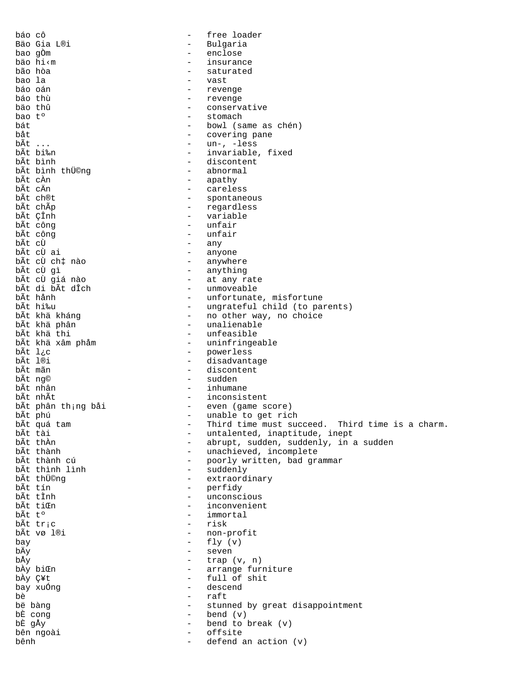báo cô  $-$  free loader Bäo Gia L®i - Bulgaria bao gÒm - enclose bäo hi‹m - insurance bão hòa - saturated bao la - vast báo oán - revenge báo thù - revenge bäo thû - conservative bao t<sup>o</sup> the stomach that the stomach that the stomach that the stomach the stomach the stomach the stomach the stomach the stomach the stomach the stomach the stomach the stomach the stomach the stomach the stomach the st bát - bowl (same as chén) båt - covering pane bÃt ... - un-, -less bÃt bi‰n - invariable, fixed<br>bÃt bình - discontent - discontent<br>- abnormal bÃt bình thÜ©ng<br>bÃt cÀn bÃt cÀn - apathy bÃt cÄn  $\overline{a}$  - careless  $\overline{b}$  - careless  $\overline{b}$ bÃt ch®t<br>bÃt chÃp - spontaneous<br>bÃt chÃp - regardless bÃt chÃp - regardless bÃt ÇÎnh  $\overline{a}$  - variable bÃt công  $\overline{b}$  - variable bÃt công  $\overline{b}$  - unfair bÃt công - unfair  $b\tilde{A}t$  công  $\overrightarrow{bAt}$  công  $\overrightarrow{bAt}$  c $\overrightarrow{u}$  any  $b\tilde{A}t$  cÙ  $-\tilde{a}$  any  $-\tilde{a}$  any  $-\tilde{a}$  any bÃt cÙ ai  $\overline{a}$  - anyone bÃt cÙ ch‡ nào  $\overline{a}$  - anywhe bÃt cÙ ch‡ nào - anywhere bÃt cÙ gì - anything bÃt cÙ giá nào - at any rate bÃt di bÃt dÎch - unmoveable<br>bÃt hảnh - unfortunate bÃt hånh - unfortunate, misfortune bÃt hi‰u - ungrateful child (to parents) bÃt khä kháng - no other way, no choice bÃt khä phân die samelienable - unalienable bÃt khä thi bÃt khä thi - unfeasible bÃt khả xâm phảm - uninfringeable<br>bÃt lịc bÃt l¿c<br>bÃt lêi - powerless<br>bÃt l®i - disadvants bÃt l®i - disadvantage - disadvantage - disadvantage - disadvantage - disadvantage - disadvantage - disadvantage - disadvantage - disadvantage - disadvantage - disadvantage - disadvantage - disadvantage - disadvantage - di bÃt mãn - discontent bÃt ng© - sudden bÃt nhân - inhumane bÃt nhÃt - inconsistent bÃt phân th<sub>i</sub>ng bải - even (game score)<br>bÃt phú - unable to get ric bÃt phú - unable to get rich bÃt quá tam - Third time must succeed. Third time is a charm. bÃt tài  $\overline{a}$  - untalented, inaptitude, inept bÃt tài  $\overline{a}$ bÃt thÀn - abrupt, sudden, suddenly, in a sudden bÃt thành  $\frac{1}{2}$  bÃt thành cú  $\frac{1}{2}$  - unachieved, incomplete bÃt thành cú - poorly written, bad grammar bÃt thình lình - suddenly bÃt thÜ©ng - extraordinary bÃt tín - perfidy bÃt tÌnh - unconscious bÃt tiŒn - inconvenient bÃt tº - immortal bÃt tr¡c - risk - non-profit bay  $-$  fly  $(v)$ <br>bÄy  $-$  seven  $\begin{array}{ccc}\n\texttt{b\ddot{A}y} & - & \text{seven} \\
\texttt{b\ddot{A}y} & - & \text{trap}\n\end{array}$  $b\AA y$ <br>  $b\AA y$  bi $\text{In}$  - trap  $(v, n)$ <br>
- arrange furs  $\vec{bAy}$  bi $\vec{c}$ n - arrange furniture  $\vec{bAy}$  C  $\vec{c}$ bÀy Ç¥t<br>bay xuống  $-$  full of shit<br>- descend bay xuống  $\begin{array}{ccc} - & \text{descend} \\ b\grave{e} & - & \text{raft} \end{array}$ bè - raft bë bàng  $\begin{array}{ccc} - &$  stunned by great disappointment<br>bÈ cong  $\begin{array}{ccc} - &$  bend  $(v) \end{array}$ bÈ cong<br>
bÈ gÅy<br>
bè gÅy<br>
- bend to l - bend to break (v)<br>- offsite bên ngoài  $-$  offsite bênh - defend an action (v)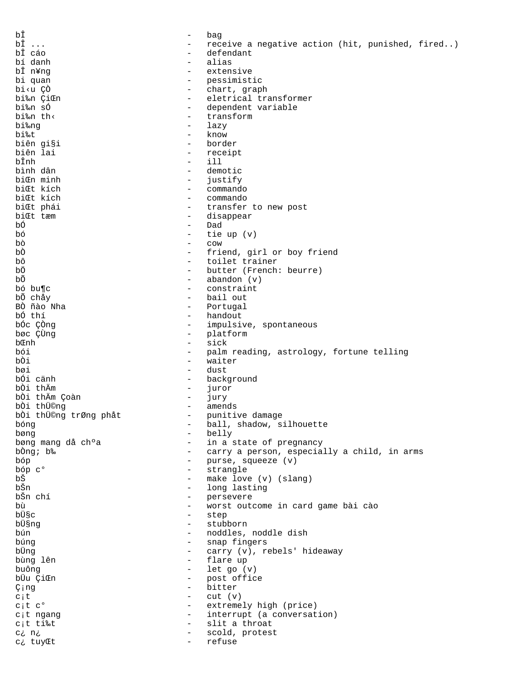| bÎ                                                                                                |                                        | bag                                              |
|---------------------------------------------------------------------------------------------------|----------------------------------------|--------------------------------------------------|
| bÎ                                                                                                | $\qquad \qquad -$                      | receive a negative action (hit, punished, fired) |
| bÎ cáo                                                                                            | $\overline{\phantom{0}}$               | defendant                                        |
| bí danh                                                                                           | $\overline{\phantom{0}}$               | alias                                            |
| bÎ n¥nq                                                                                           | $\overline{\phantom{0}}$               | extensive                                        |
| bi quan                                                                                           | $\overline{\phantom{0}}$               | pessimistic                                      |
| bi <u td="" çò<=""><td><math display="block">\qquad \qquad -</math></td><td>chart, graph</td></u> | $\qquad \qquad -$                      | chart, graph                                     |
| bi‰n ÇiŒn<br>bi‰n sÓ                                                                              | $-$                                    | eletrical transformer                            |
| bi‰n th<                                                                                          | $\qquad \qquad -$<br>$\qquad \qquad -$ | dependent variable<br>transform                  |
| bi‰ng                                                                                             | $\overline{\phantom{0}}$               | lazy                                             |
| bi‰t                                                                                              | $\overline{\phantom{0}}$               | know                                             |
| biên gi§i                                                                                         | $\qquad \qquad -$                      | border                                           |
| biên lai                                                                                          | $\qquad \qquad -$                      | receipt                                          |
| bÎnh                                                                                              | $\overline{\phantom{0}}$               | ill                                              |
| bình dân                                                                                          | $\overline{\phantom{m}}$               | demotic                                          |
| biCn minh                                                                                         | $\qquad \qquad -$                      | justify                                          |
| biŒt kích                                                                                         | $\overline{\phantom{0}}$               | commando                                         |
| biŒt kích                                                                                         | $\qquad \qquad -$                      | commando                                         |
| biŒt phái                                                                                         | $\overline{\phantom{m}}$               | transfer to new post                             |
| biŒt tæm                                                                                          | -                                      | disappear                                        |
| bÓ                                                                                                | $\qquad \qquad -$                      | Dad                                              |
| bó                                                                                                |                                        | tie up $(v)$                                     |
| bò                                                                                                | $\qquad \qquad -$                      | COW                                              |
| bÒ                                                                                                | $\qquad \qquad -$                      | friend, girl or boy friend                       |
| bô                                                                                                | $\overline{\phantom{0}}$               | toilet trainer                                   |
| bÖ                                                                                                | $\overline{\phantom{0}}$               | butter (French: beurre)                          |
| bÕ                                                                                                | $\qquad \qquad -$                      | abandon $(v)$                                    |
| bó bu¶c                                                                                           | $\overline{\phantom{0}}$               | constraint                                       |
| bỗ chảy                                                                                           | $\overline{\phantom{0}}$               | bail out                                         |
| BÒ ñào Nha                                                                                        | $\qquad \qquad -$                      | Portugal                                         |
| bố thí                                                                                            | $\qquad \qquad -$                      | handout                                          |
| bốc Çồng                                                                                          | $-$                                    | impulsive, spontaneous                           |
| bøc ÇÙng                                                                                          | $\qquad \qquad -$                      | platform                                         |
| bŒnh                                                                                              | $\overline{\phantom{0}}$               | sick                                             |
| bói                                                                                               | $\qquad \qquad -$                      | palm reading, astrology, fortune telling         |
| bÒi                                                                                               | $\qquad \qquad -$                      | waiter                                           |
| bøi                                                                                               | $\qquad \qquad -$                      | dust                                             |
| bối cảnh                                                                                          | $\overline{\phantom{0}}$               | background                                       |
| bòi thÄm                                                                                          | $\overline{\phantom{0}}$               | juror                                            |
| bÒi thầm Çoàn                                                                                     | $\qquad \qquad -$                      | jury                                             |
| bòi thü©ng                                                                                        | $\overline{\phantom{a}}$               | amends                                           |
| bòi thü©ng trØng phåt                                                                             | -                                      | punitive damage                                  |
| bóng                                                                                              |                                        | ball, shadow, silhouette                         |
| bøng                                                                                              | $\qquad \qquad -$                      | belly                                            |
| bøng mang då ch°a                                                                                 | -                                      | in a state of pregnancy                          |
| bòng; b‰                                                                                          | $\qquad \qquad -$                      | carry a person, especially a child, in arms      |
| bóp                                                                                               | $\qquad \qquad -$                      | purse, squeeze (v)                               |
| bóp c <sup>o</sup>                                                                                | $\qquad \qquad -$                      | strangle                                         |
| bŠ                                                                                                | $\qquad \qquad -$                      | make love (v) (slang)                            |
| bŠn                                                                                               | $\overline{\phantom{0}}$               | long lasting                                     |
| bŠn chí                                                                                           | $\qquad \qquad -$                      | persevere                                        |
| bù<br>bܧc                                                                                         | $\qquad \qquad -$                      | worst outcome in card game bài cào               |
| bܧng                                                                                              | $-$<br>$\overline{\phantom{0}}$        | step                                             |
| bún                                                                                               | $\qquad \qquad -$                      | stubborn<br>noddles, noddle dish                 |
| búng                                                                                              | $\qquad \qquad -$                      |                                                  |
| bÜng                                                                                              | -                                      | snap fingers<br>carry (v), rebels' hideaway      |
| bùng lên                                                                                          | $\qquad \qquad -$                      | flare up                                         |
| buông                                                                                             | $\qquad \qquad -$                      | let go (v)                                       |
| büu ÇiŒn                                                                                          | $\overline{\phantom{0}}$               | post office                                      |
| Çing                                                                                              | $\overline{\phantom{0}}$               | bitter                                           |
| $c$ ; t                                                                                           | $\qquad \qquad -$                      | cut (v)                                          |
| $ci$ t c <sup>o</sup>                                                                             | $\qquad \qquad -$                      | extremely high (price)                           |
| c;t ngang                                                                                         | $\qquad \qquad -$                      | interrupt (a conversation)                       |
| c;t ti‰t                                                                                          | $\qquad \qquad -$                      | slit a throat                                    |
| c; n;                                                                                             | $\qquad \qquad -$                      | scold, protest                                   |
| c; tuyŒt                                                                                          |                                        | refuse                                           |
|                                                                                                   |                                        |                                                  |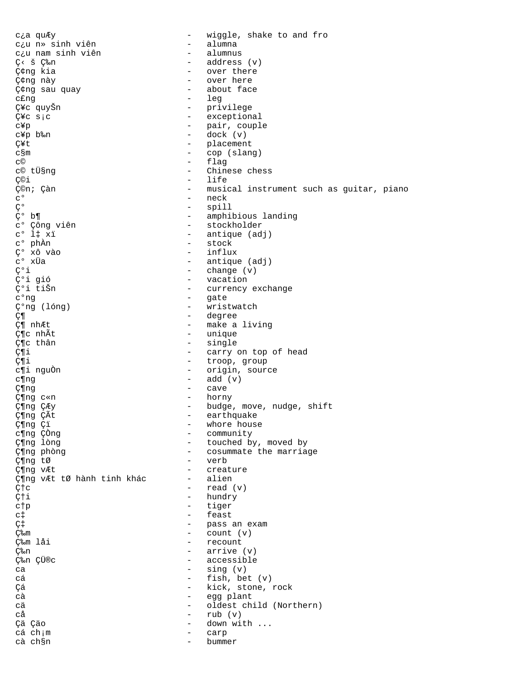wiggle, shake to and fro cia quÆy  $\equiv$ c¿u n» sinh viên - alumna  $-$  alumnus c¿u nam sinh viên - address (v) C< š C‰n Ç¢ng kia - over there - over here Ç¢ng này - about face Ç¢ng sau quay - leg c£ng - privilege Ç¥c quyŠn - exceptional  $\zeta$ <sup> $\zeta$ </sup>c  $s$ <sub>i</sub>c - pair, couple c¥p c¥p b‰n  $-$  dock  $(v)$ - placement Ç¥t  $\equiv$ c§m cop (slang) flag  $\equiv$ C© c© tܧng Chinese chess  $\sim$ life ǩi  $\equiv$ - musical instrument such as guitar, piano ǩn; Çàn  $\mathsf{C}^{\,\mathsf{O}}$ - neck  $\zeta$  o - spill ç° b¶ - amphibious landing c° Çông viên - stockholder  $c^{\circ}$  l‡ xï - antique (adj)  $\mathtt{c}^{\mathsf{o}}$ phần - stock C° xô vào - influx  $c^{\circ}$  xÜa - antique (adj) ǰi  $-$  change  $(v)$ ǰi gió  $\frac{1}{2}$ vacation ǰi tiŠn - currency exchange - gate  $c^{\circ}$ ng  $\zeta$ <sup>o</sup>ng (lóng)  $\mathbf{r}$ wristwatch - degree Ƕ Ƕ nhÆt - make a living - unique Ƕc nhÃt ç¶c thân - single Ƕi - carry on top of head Ƕi - troop, group - origin, source c¶i nguÒn  $-$  add  $(v)$  $c\Png$ Ƕng  $\sim$ cave horny Ƕng c«n  $\equiv$ - budge, move, nudge, shift Ƕng ÇÆy Ƕng ÇÃt earthquake  $\sim$ Ƕng Çï  $\overline{a}$ whore house c¶ng ÇÒng - community Ƕng lòng - touched by, moved by - cosummate the marriage Ƕng phòng - verb Ƕng tØ - creature Ƕng vÆt - alien Ƕng vÆt tØ hành tinh khác  $C$ † $C$  $\frac{1}{2}$ read (v) - hundry  $C \uparrow i$  $\equiv$ tiger ctp feast  $\equiv$  $C<sup>†</sup>$ - pass an exam LJ ljm  $\sim$ count (v) - recount ljm låi  $-$  arrive  $(v)$ ljn - accessible ljn ÇÜ®c  $-$  sing  $(v)$  $ca$  $-$  fish, bet  $(v)$ cá - kick, stone, rock Cá  $c\lambda$ - egg plant oldest child (Northern) cä  $\equiv$ cå  $\sim$ rub (v) Çä Çäo  $\sim$ down with ... cá ch;m carp cà ch§n bummer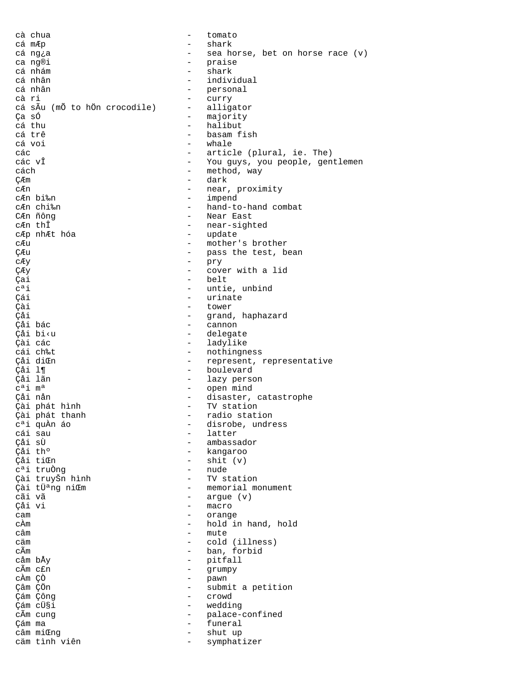cà chua - tomato cá mÆp - shark cá ng¿a - sea horse, bet on horse race (v) ca ng®i - praise cá nhám - shark cá nhân - individual cá nhân - personal - curry<br>- alligator cá sÃu (mÕ to hÖn crocodile) Ça số<br>Cá thu cá thu - majority cá thu cá thu  $\overline{c}$  - halibut  $\overline{c}$  - halibut  $\overline{c}$  - halibut  $\overline{c}$  - halibut  $\overline{c}$ cá trê - basam fish cá voi - whale các - article (plural, ie. The) các vÎ - You guys, you people, gentlemen cách - method, way ÇÆm - dark - near, proximity<br>- impend cÆn bi‰n - impend cÆn chi‰n - hand-to-hand combat CÆn ñông - Near East - near-sighted<br>- update cÆp nhÆt hóa cÆu - mother's brother<br>CÆu - pass the test, b ÇÆu - pass the test, bean cÆy - pry ÇÆy - cover with a lid  $\begin{array}{ccc}\n\text{Cai} & - & \text{belt} \\
\text{c}^a \text{i} & - & \text{untie}\n\end{array}$ c<sup>a</sup>i - untie, unbind<br>Çái - urinate - urinate Çái - urinate Çài - tower - grand, haphazard<br>- Gannon Çåi bác<br>Cannon - cannon - cannon - cannon - cannon - cannon - cannon - cannon - cannon - cannon - cannon -Çåi bi‹u - delegate Çài các - ladylike cái ch‰t<br>Cái diŒn - component - nothingness Çåi diŒn - represent, representative Çåi l¶ - boulevard - lazy person cªi mª - open mind - disaster, catastrophe<br>- TV station Çài phát hình<br>Cài phát thanh - TV stational Çài phát thanh  $c^a$ i quÀn áo  $c^a$ i quÀn áo  $c^a$ i quÀn áo  $c$ - disrobe, undress<br>- latter cái sau - latter Çåi sÙ - ambassador Çåi thº - kangaroo - shit (v)<br>- nude cªi truÒng - nude Çài truyŠn hình<br>Çài tܪng niŒm - memorial monument cãi vã - argue (v) - macro cam - orange cÀm - hold in hand, hold câm - mute cäm - cold (illness) cÃm - ban, forbid - pitfall<br>- grumpy cÃm c£n - grumpy<br>cÀm CÒ - pawn cÀm ÇÒ - pawn - submit a petition<br>- crowd Çám Çông - crowd Çám cܧi - wedding cÃm cung  $\sim$  palace-confined Çám ma - funeral câm miŒng - shut up cäm tình viên - symphatizer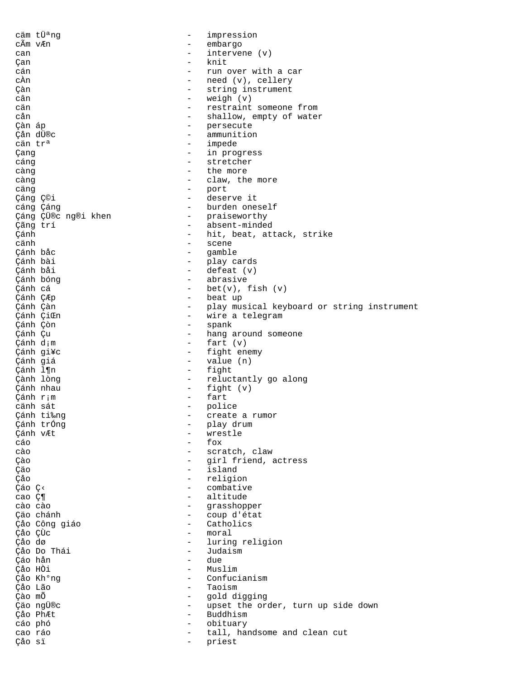| cäm tܪng               | $\qquad \qquad -$        | impression                                 |
|------------------------|--------------------------|--------------------------------------------|
| cÃm vÆn                | $\overline{\phantom{0}}$ | embargo                                    |
| can                    | $\overline{\phantom{0}}$ | intervene (v)                              |
| Çan                    |                          | knit                                       |
| cán                    | $\overline{\phantom{0}}$ | run over with a car                        |
| cÀn                    | $\qquad \qquad -$        | need (v), cellery                          |
| Çàn                    | $\qquad \qquad -$        | string instrument                          |
| cân                    | $\overline{\phantom{m}}$ | weigh $(v)$                                |
| cän                    | $\qquad \qquad -$        | restraint someone from                     |
| cån                    | $\overline{\phantom{m}}$ | shallow, empty of water                    |
| Çàn áp                 | $\overline{\phantom{0}}$ | persecute                                  |
| Çån dÜ®c               | $\overline{\phantom{m}}$ | ammunition                                 |
| cän tr <sup>a</sup>    | $\qquad \qquad -$        | impede                                     |
| Çang                   | $\overline{\phantom{a}}$ | in progress                                |
| cáng                   | $\overline{\phantom{m}}$ | stretcher                                  |
| càng                   | $\overline{\phantom{m}}$ | the more                                   |
| càng                   | $\qquad \qquad -$        | claw, the more                             |
| cäng                   | $\qquad \qquad -$        | port                                       |
| Çáng Ç©i               | $\overline{\phantom{0}}$ | deserve it                                 |
| cáng Çáng              | $\qquad \qquad -$        | burden oneself                             |
| Çáng ÇÜ®c ng®i khen    | $\overline{\phantom{0}}$ | praiseworthy                               |
| Çãng trí               | $\qquad \qquad -$        | absent-minded                              |
| Çánh                   | $\overline{\phantom{a}}$ | hit, beat, attack, strike                  |
| cänh                   | $\overline{\phantom{m}}$ | scene                                      |
| Cánh bảc               | $\overline{\phantom{0}}$ | gamble                                     |
| Çánh bài               | $\qquad \qquad -$        | play cards                                 |
| Çánh bải               | $\overline{\phantom{0}}$ | defeat (v)                                 |
| Çánh bóng              | $\qquad \qquad -$        | abrasive                                   |
| Çánh cá                | $\overline{\phantom{m}}$ | $bet(v)$ , fish $(v)$                      |
| Çánh ÇÆp               | $\qquad \qquad -$        | beat up                                    |
| Çánh Çàn               | $\qquad \qquad =$        | play musical keyboard or string instrument |
| Çánh ÇiŒn              | $\qquad \qquad -$        | wire a telegram                            |
| Çánh Çòn               | $\qquad \qquad -$        | spank                                      |
| Çánh Çu                | $\qquad \qquad -$        | hang around someone                        |
| Çánh d;m               | $\overline{\phantom{a}}$ | fart (v)                                   |
| Çánh gi¥c              | $\qquad \qquad -$        | fight enemy                                |
| Çánh giá               | $\overline{\phantom{a}}$ | value (n)                                  |
| Çánh l¶n               | $\overline{\phantom{0}}$ | fight                                      |
| Çành lòng              | $\qquad \qquad -$        | reluctantly go along                       |
| Çánh nhau              | $\qquad \qquad -$        | fight $(v)$                                |
| Çánh r;m               | $\overline{\phantom{m}}$ | fart                                       |
| cänh sát               | $\qquad \qquad -$        | police                                     |
|                        |                          |                                            |
| Çánh ti‰ng             |                          | create a rumor                             |
| Çánh trông             | $\qquad \qquad -$        | play drum                                  |
| Çánh vÆt               |                          | wrestle                                    |
| cáo                    |                          | fox                                        |
| cào                    | $\qquad \qquad -$        | scratch, claw                              |
| Çào                    | $\qquad \qquad -$        | girl friend, actress                       |
| Çäo                    | $\overline{\phantom{a}}$ | island                                     |
| Çåo                    | $\qquad \qquad -$        | religion                                   |
| Ção Ç<                 | $\overline{\phantom{0}}$ | combative                                  |
| cao Ƕ                  | $\qquad \qquad -$        | altitude                                   |
| cào cào                | $\overline{\phantom{a}}$ | grasshopper                                |
| Çäo chánh              | $\qquad \qquad -$        | coup d'état                                |
| Çåo Công giáo          | $\qquad \qquad -$        | Catholics                                  |
| Çåo ÇÙc                | $\overline{\phantom{a}}$ | moral                                      |
| Çåo dø                 | $\qquad \qquad -$        | luring religion                            |
| Çảo Do Thái            | $\overline{\phantom{0}}$ | Judaism                                    |
| Çáo hản                | $\overline{\phantom{a}}$ | due                                        |
| Çåo HÒi                | $\overline{\phantom{0}}$ | Muslim                                     |
| Çåo Kh <sup>o</sup> ng | $\qquad \qquad -$        | Confucianism                               |
| Çåo Lão                | $\qquad \qquad -$        | Taoism                                     |
| Çào mỗ                 | $\qquad \qquad -$        | gold digging                               |
| Çäo ngÜ®c              | $\qquad \qquad -$        | upset the order, turn up side down         |
| Çåo PhÆt               | $\overline{\phantom{0}}$ | Buddhism                                   |
| cáo phó                | $\equiv$                 | obituary                                   |
| cao ráo                | $\overline{\phantom{0}}$ | tall, handsome and clean cut               |
| Çåo sï                 | $\overline{\phantom{0}}$ | priest                                     |
|                        |                          |                                            |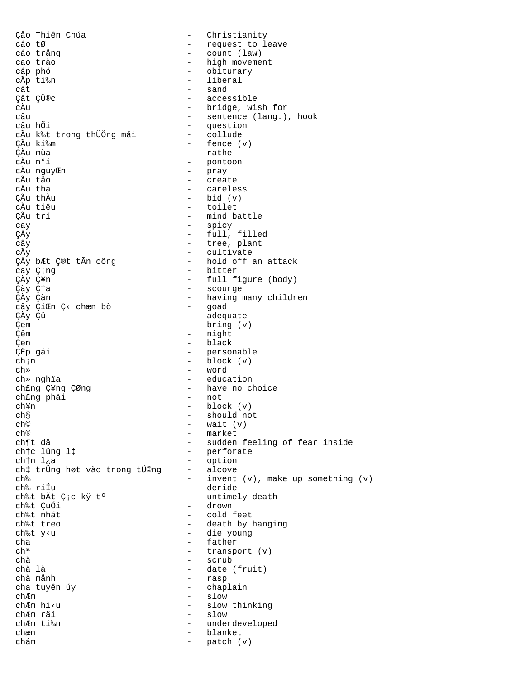Cảo Thiên Chúa - Christianity cáo tØ - request to leave - count (law) cáo trảng - high movement cao trão - obiturary cáp phó - liberal cÃp ti‰n  $-$  sand cát Çåt ÇÜ®c - accessible - bridge, wish for cÀu - sentence (lang.), hook câu câu hỗi - question - collude cÃu k‰t trong thÜÖng måi  $-$  fence  $(v)$ CÃu ki‰m ÇÀu mùa - rathe - pontoon cÀu n°i  $\omega_{\rm{max}}$ cÀu nguyŒn pray - create cÃu tảo - careless cÄu thä  $-$  bid  $(v)$ ÇÃu thầu - toilet cÀu tiêu - mind battle ÇÃu trí - spicy cay ÇÀy - full, filled - tree, plant cây - cultivate cÃy - hold off an attack ÇÄy bÆt Ç®t tÃn công - bitter cay Çing - full figure (body) ÇÀy Ç¥n - scourge Çày dža - having many children ÇÀy Çàn - goad cây ÇiŒn Ç< chæn bò - adequate ÇÀy Çû -  $bring(v)$ Çem - night çêm - black Çen - personable ÇËp gái  $-$  block  $(v)$  $ch<sub>i</sub> n$  $ch<sub>*</sub>$ - word - education ch» nghia - have no choice ch£ng Ç¥ng ÇØng  $-$  not ch£ng phäi  $-$  block  $(v)$ ch¥n - should not ch§  $-$  wait  $(v)$ ch© - market ch® - sudden feeling of fear inside ch¶t då - perforate chtc lûng l‡ - option ch†n l¿a - alcove ch‡ trÛng høt vào trong tÜ©ng ch‰ - invent  $(v)$ , make up something  $(v)$ - deride ch‰ riÍu - untimely death ch‰t bẤt Çịc kỷ t° - drown ch‰t ÇuÓi ch‰t nhát - cold feet - death by hanging ch‰t treo - die young ch‰t y<u  $\equiv$ father cha - transport (v)  $ch<sup>a</sup>$ - scrub chà - date (fruit) chà là - rasp chà mảnh - chaplain cha tuyên úy - slow chÆm - slow thinking chÆm hi<u - slow chÆm rãi  $\equiv$ chÆm ti‰n underdeveloped  $\equiv$ blanket chæn chám  $\sim$ patch (v)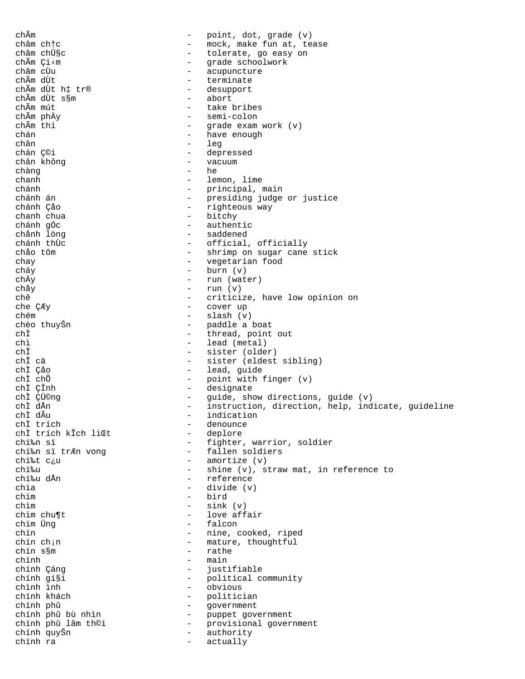chÃm point, dot, grade (v)  $\frac{1}{2}$  and  $\frac{1}{2}$ châm chtc mock, make fun at, tease - tolerate, go easy on châm chܧc - grade schoolwork chẫm Çi<m - acupuncture châm cÙu chẫm dùt terminate  $\sim$ chẫm dùt hị tr® - desupport - abort chẫm dùt s§m - take bribes chẫm mút - semi-colon chẫm phÄy chẫm thi -  $q =$  qrade exam work  $(v)$ - have enough  $chán$ - leg chân - depressed chán Ç©i chân không  $\omega_{\rm{max}}$ vacuum he chàng  $\sim$ - lemon, lime chanh - principal, main chánh  $\frac{1}{2}$  and  $\frac{1}{2}$ chánh án presiding judge or justice - righteous way chánh Çảo - bitchy chanh chua chánh gốc - authentic - saddened chảnh lòng - official, officially chánh thừc - shrimp on sugar cane stick chảo tôm - vegetarian food chay  $-$  burn  $(v)$ cháy - run (water) chÄy -  $run (v)$ chảy - criticize, have low opinion on chê - cover up che ÇÆy  $-$  slash  $(v)$ chém chèo thuyŠn - paddle a boat chÌ  $\Delta \sim 10^{-11}$ thread, point out - lead (metal)  $nh\tilde{t}$  $ch<sup>†</sup>$ - sister (older) chÎ cä - sister (eldest sibling) chÌ Cảo - lead, guide chÌ chỗ - point with finger (v) - designate chÌ ÇÎnh - guide, show directions, guide (v)<br>- instruction, direction, help, indicate, guideline chÌ ÇÜ©ng chÌ dÅn chÌ dÃu - indication chÌ trích - denounce chÌ trích kÎch liŒt - deplore - fighter, warrior, soldier chi‰n sï - fallen soldiers chi‰n sï trÆn vong - amortize (v) chi‰t c¿u - shine (v), straw mat, in reference to chi‰u - reference chi‰u dÅn - divide (v) chia - bird chim  $\omega_{\rm{max}}$ sink (v) chìm - love affair chim chu¶t - falcon chim Üng - nine, cooked, riped chín - mature, thoughtful chín ch<sub>i</sub>n - rathe chín s§m  $-$  main chính - justifiable chính Çáng - political community chính qi§i chình ình - obvious - politician chính khách  $\mathcal{L}^{\text{max}}$ chính phû government  $\frac{1}{\sqrt{2}}\frac{1}{\sqrt{2}}\left( \frac{1}{2}\right) ^{2}$ - puppet government chính phû bù nhìn chính phû lâm th©i provisional government  $\sim 10^{-10}$ chính quyŠn authority  $\sim$ actually chính ra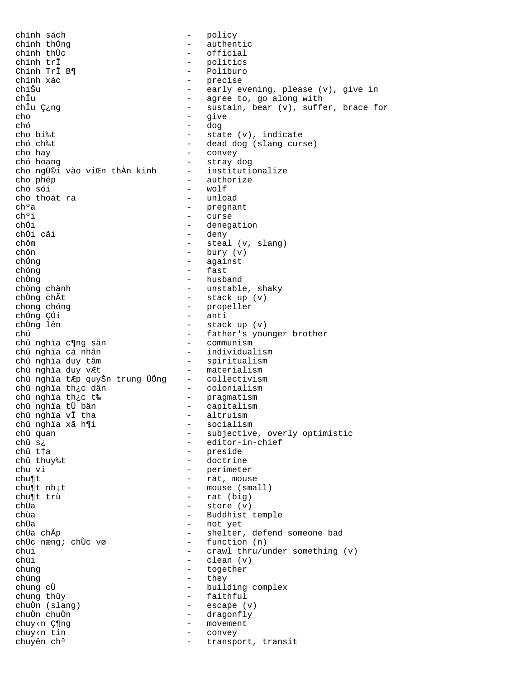chính sách - policy chính thống<br>
chính thừc<br>
- official<br>
- official chính thÙc  $\overline{c}$  - official<br>chính trî - politics chính trÎ - politics Chính TrÎ B¶ - Poliburo chính xác - precise chiŠu - early evening, please (v), give in chÎu - agree to, go along with - sustain, bear (v), suffer, brace for cho - give<br>chó - give<br>chó - dog chó – dog<br>cho bi‰t – sta cho bi‰t<br>
chó ch‰t - state (v), indicate<br>
- dead dog (slang cur - dead dog (slang curse) cho hay - convey chó hoang<br>
cho ngữ©i vào viŒn thần kinh - institutionalize cho ngܩi vào viŒn thÀn kinh cho phép - authorize - wolf<br>- unload cho thoát ra<br>ch°a ch<sup>o</sup>a - pregnant<br>ch<sup>o</sup>i - curse ch<sup>o</sup>i - curse<br>chÓi - denega chÓi - denegation<br>
chÓi cãi - deny - deny - deny chÓi cãi  $-\text{deny}$ <br>chôm  $-\text{stear}$ chôm - steal (v, slang) chôn - bury (v)<br>
chông - against - against chóng - fast chÒng - husband chòng chành - unstable, shaky chÒng chÃt - stack up (v) chong chóng - propeller chỐng CÓi - anti<br>chÒng lên - stack chÒng lên - stack up (v) chú - father's younger brother chû nghïa c¶ng sän - communism chû nghïa cá nhân  $-$  individualism chû nghïa duy tâm - spiritualism chû nghïa duy vÆt - materialism chû nghïa tÆp quyŠn trung ÜÖng - collectivism chû nghïa th¿c dân - colonialism chû nghïa th¿c t‰ - pragmatism chû nghïa tÜ bän - capitalism chû nghïa vÎ tha - altruism chû nghïa xã h¶i - socialism chû quan - subjective, overly optimistic<br>chû s¿ - editor-in-chief chû s¿<br>
chû s¿ - editor-in-chief<br>
chû t†a - preside chû t†a - preside chû thuy‰t<br>chu vi - doctrine<br>- perimete chu vi - perimeter<br>
chu¶t - rat. mous - rat, mouse  $\begin{minipage}{.4\linewidth} \texttt{chuft} \quad \texttt{nh}_i\texttt{t} \qquad \qquad - \quad \texttt{mouse} \;\; (\texttt{small}) \end{minipage}$ chu¶t trù - rat (big) chÙa - store (v)<br>chùa - store (v)<br>- Buddhist chùa<br>chùa - Buddhist temple<br>chÜa - not vet chÜa - not yet<br>
chÙa chÃp - shelter, chÙa chÃp - shelter, defend someone bad chÙc næng; chÙc vø - function (n) chui - crawl thru/under something (v)<br>
- clean (v)<br>
- clean (v) - clean (v) chung - together chúng - they<br>chung cÜ - build chung cÜ<br>
chung thûy<br>
- faithful<br>
- faithful - faithful chuÒn (slang) - escape (v) - dragonfly chuy<n  $\zeta$ ¶ng - movement<br>chuy<n tin - convex chuy<n tin  $\qquad$  - convey chuyên ch<sup>a</sup>  $\qquad$  - transpo - transport, transit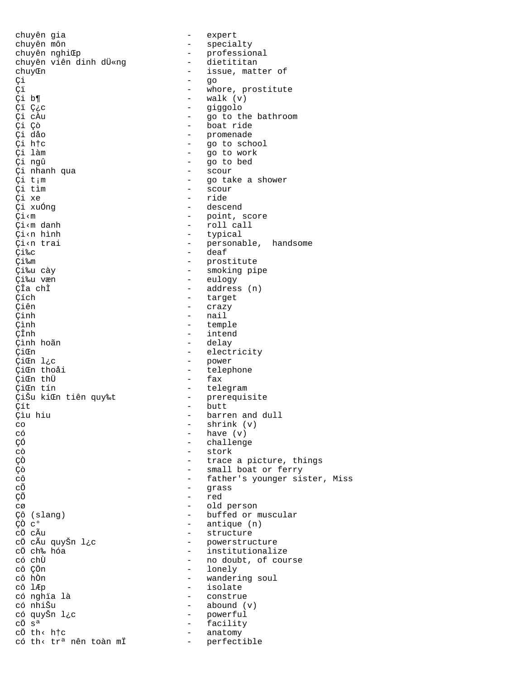chuyên gia - expert chuyên môn  $-$  specialty chuyên nghiŒp<br>chuyên nghiŒp - professional<br>chuyên viên dinh dÜ«ng - dietititan chuyên viên dinh dÜ«ng chuyCn - issue, matter of çi — go Ci - whore, prostitute<br>Ci b¶ - walk (v) Çi b¶ - walk (v) - giggolo Çi cÀu  $\begin{array}{cccc} - &$  go to the bathroom<br>Ci Cò  $\begin{array}{cccc} - &$  boat ride .<br>Ci Çò - boat ride - boat ride<br>Ci dåo - bromenade - promenade Çi dåo - promenade - go to school Çi làm - go to work Çi ngû - go to bed ci nhanh qua<br>
Ci t<sub>i</sub>m - scour<br>
Ci t<sub>i</sub>m - go tal Çi t<sub>i</sub>m  $\frac{1}{2}$  - go take a shower<br>Ci tìm - scour Citìm - scour<br>Cixe - ride Çi xe - ride Çi xuÓng - descend Ci<m - point, score<br>Ci<m danh - point, score<br>Ci<m danh - roll call - roll call Çi‹n hình - typical Çi‹n trai - personable, handsome Çi‰c - deaf - prostitute Çi‰u cày - smoking pipe Çi‰u væn - eulogy ClachÌ - address (n)<br>Clach - target Cích - target<br>Ciên - target - target .<br>Ciên - crazy - crazy<br>Cinh - nail Çinh - nail Çình - temple ÇÎnh - intend Çình hoãn - delay CiCh - electricity<br>
CiCh 1.c - electricity<br>
- power ÇiŒn l¿c - power - telephone<br>- fax ÇiŒn thÜ ÇiŒn tín - telegram ÇiŠu kiŒn tiên quy‰t Çít - butt - barren and dull co - shrink (v)<br>
có - have (v) có - have (v) ÇÓ - challenge cò - stork ÇÒ - trace a picture, things çò  $\overline{c}$  - small boat or ferry<br>
- father's younger si - father's younger sister, Miss cÕ - grass ÇÕ - red cø - old person - old person - old person - old person - old person - old person - old person - old person - o<br>Cô (slang) - buffed or r Cô (slang) - buffed or muscular<br>
Cô c<sup>o</sup> - antique (n) çõ c<sup>o</sup> - antique (n)<br>cÖ cÃu - structure cÖ cÃu - structure cÖ cÃu quyŠn l¿c - - powerstructure<br>cÖ ch‰ hóa --- -- -- --- --- --- institutionali cÖ ch‰ hóa  $\overline{c}$  - institutionalize<br>có chÙ - no doubt, of cou có chÙ - no doubt, of course cô ÇÖn - lonely cô hÒn - wandering soul cô lÆp - isolate - construe có nhiŠu - abound (v) có quyŠn l¿c - powerful cÖ sª - facility cÖ th< h†c<br>cÓ th< trª nên toàn mÏ - perfectible có th< trª nên toàn mÏ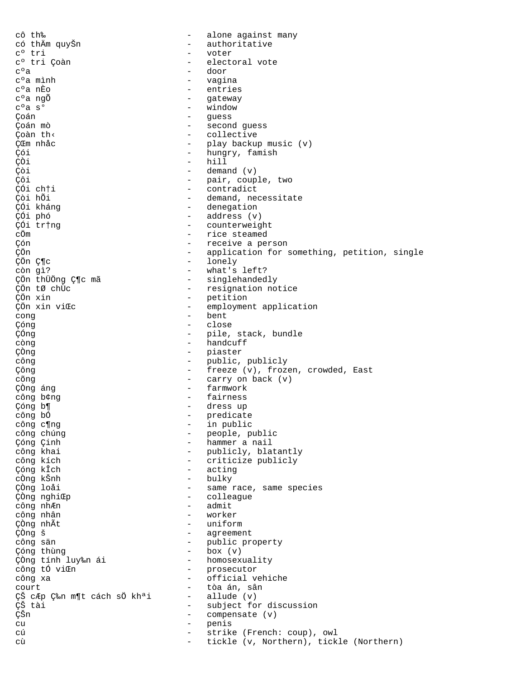cô th‰ alone against many  $\equiv$ có thẩm quyŠn  $\equiv$ authoritative  $c^{\circ}$  tri  $\equiv$ voter c° tri Çoàn electoral vote  $c<sup>o</sup>a$ door c°a mình  $\overline{a}$ vagina c°a nÈo  $\overline{a}$ entries - gateway c°a ngÕ - window  $C$ °a  $S$ ° - guess Çoán - second guess Coán mò Coàn th< - collective - play backup music (v) CŒm nhậc - hungry, famish Çói  $-$  hill ÇÒi Çòi  $\equiv$ demand (v) Çôi - pair, couple, two ÇÓi chti  $\sim$ contradict Çòi hỗi - demand, necessitate ÇÓi kháng - denegation - address (v) ÇÓi phó ÇÓi tr†ng - counterweight - rice steamed cÖm - receive a person Cón ÇÖn - application for something, petition, single - lonely ÇÖn Ƕc - what's left? còn gì? - singlehandedly ÇÖn thüÖng Ƕc mã - resignation notice ÇÖn tØ chÙc ÇÖn xin - petition ÇÖn xin viŒc  $\overline{a}$ employment application  $\overline{a}$ bent cong  $\sim$ Çóng close ÇÓng - pile, stack, bundle  $-$  handcuff còng - piaster ÇÒng - public, publicly công - freeze (v), frozen, crowded, East Çông - carry on back (v) cõng ÇÒng áng  $\equiv$ farmwork fairness công b¢ng  $\equiv$ - dress up Çóng b¶ công bố - predicate - in public công c¶ng - people, public công chúng - hammer a nail Çóng Çinh công khai - publicly, blatantly - criticize publicly công kích Çóng kÎch - acting cÒng kŠnh - bulky ÇÒng loåi - same race, same species  $\omega_{\rm{max}}$ ÇÒng nghiŒp colleague  $-$  admit công nhÆn công nhân  $\sim$ worker ÇÒng nhÃt  $\equiv$ uniform ÇÒng š  $\overline{a}$ agreement  $\sim$ công sän public property  $-$  box  $(v)$ Çóng thùng - homosexuality ÇÒng tính luy‰n ái - prosecutor công tố viŒn công xa  $\Delta \sim 10^4$ official vehiche - tòa án, sân court ÇŠ cÆp ljn m¶t cách sÖ khªi  $-$  allude  $(v)$ ÇŠ tài  $\sim$ subject for discussion ÇŠn  $\sim$ compensate (v)  $\equiv$ cu penis strike (French: coup), owl сú сù tickle (v, Northern), tickle (Northern)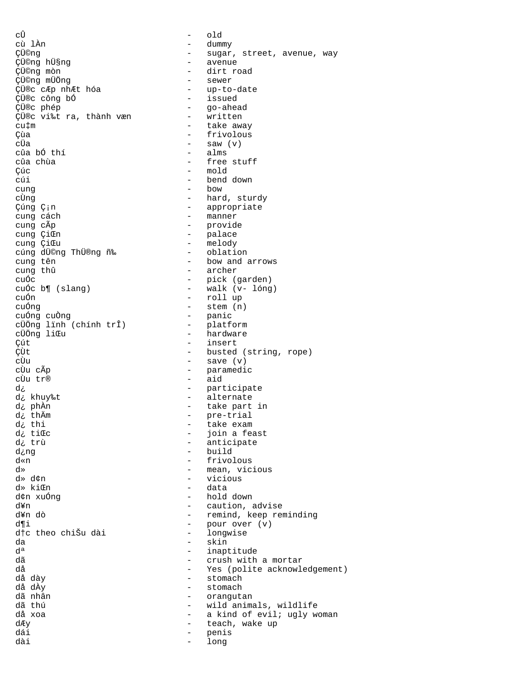cÛ - old cù lÀn - dummy ÇÜ©ng - sugar, street, avenue, way ÇÜ©ng hܧng - avenue - dirt road<br>- sewer ÇÜ©ng mÜÖng - sewer ÇÜ®c cÆp nhÆt hóa - up-to-date ÇÜ®c công bÓ<br>ÇÜ®c phép - go-ahead<br>- written ÇÜ®c vi‰t ra, thành væn<br>cu‡m cu‡m - take away Çùa - frivolous - saw  $(v)$ <br>- alms cûa bố thí cûa chùa - free stuff Cúc - mold<br>Cúi - bend - bend down cung - bow cÙng<br>
Cúng C<sub>i</sub>n<br>
Cúng C<sub>i</sub>n Cúng C<sub>i</sub>n<br>
cung cách<br>
- manner cung cách - manner cung cÃp<br>
cung ÇiŒn<br>
- palace<br>
- palace cung ÇiŒn - palace - melody<br>- oblation cúng dÜ©ng ThÜ®ng ñ‰<br>cung tên - bow and arrows cung thû - archer cuÓc - pick (garden) cuÓc b¶ (slang) - walk (v- lóng) cuỐn  $\overline{\phantom{a}}$  - roll up<br>cuỐng - stem (n - stem (n)<br>- panic cuỐng cuồng (chính trî) - panic<br>cÜÖng lĩnh (chính trî) - platform cÜÖng lïnh (chính trî)<br>cÜÖng liŒu - hardware Cút - insert - insert<br>Cùt - busted CÙt  $\ddot{c}$  - busted (string, rope) cÙu - save (v)<br>cÙu cÃp - paramedi - paramedic cÙu tr® - aid d¿ - participate d¿ khuy‰t - alternate d¿ phÀn - take part in d¿ thÄm - pre-trial d¿ thi - take exam d¿ tiŒc - join a feast<br>d¿ trù - join a feast - anticipate d¿ng - build d«n - frivolous<br>d» – mean vic: d»  $\frac{d}{dx}$  - mean, vicious  $\frac{d}{dx}$  - vicious  $\frac{d}{dx}$  - vicious - vicious d» kiŒn - data d¢n xuÓng - hold down d¥n - caution, advise - remind, keep reminding<br>- pour over (v) d¶i - pour over (v) d†c theo chiŠu dài - longwise da - skin dª - inaptitude dã - crush with a mortar - Yes (polite acknowledgement) då dày - stomach då dÀy - stomach - orangutan dã thú - wild animals, wildlife då xoa  $-$  a kind of evil; ugly woman dky degree teach, wake up dái - penis dài - long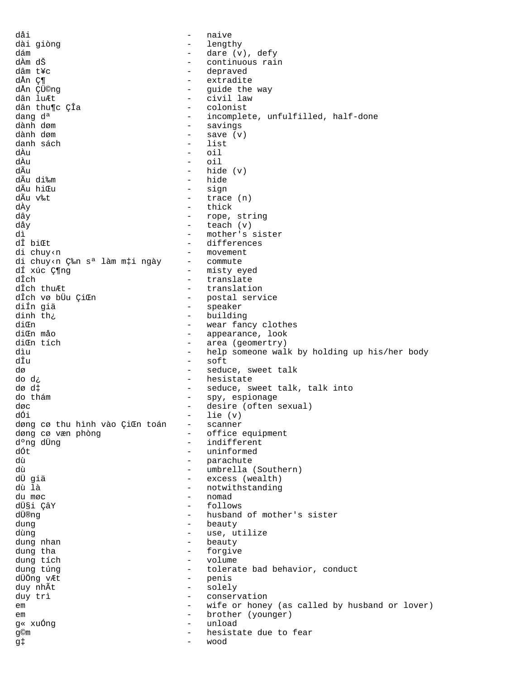dåi  $\equiv$ naive - lengthy dài giòng - dare (v), defy dám dÀm dŠ - continuous rain dâm t¥c - depraved dÅn Ƕ - extradite dÅn ÇÜ©nq - guide the way dân luÆt - civil law dân thu¶c ÇÎa - colonist dang d<sup>a</sup> - incomplete, unfulfilled, half-done dành døm - savings dành dam  $-$  save  $(v)$ - list danh sách dÀu  $\circ i1$ dÀu  $\equiv$ oil dÃu hide (v)  $\equiv$ - hide dÃu di‰m dÃu hiŒu - sign dÃu v‰t  $-$  trace  $(n)$ - thick dÀy - rope, string dây dåy - teach (v) - mother's sister ٦ì. dî biŒt - differences - movement di chuy<n - commute di chuy<n ljn s<sup>a</sup> làm m‡i ngày dí xúc Ƕng - misty eyed dÎch  $\Delta \sim 10^4$ translate - translation dÎch thuÆt - postal service dÎch vø bÜu ÇiŒn  $\omega_{\rm{max}}$ diÍn giä speaker - building dinh th: diŒn - wear fancy clothes - appearance, look diŒn mảo - area (geomertry) dion tích - help someone walk by holding up his/her body dìu - soft dîn dø - seduce, sweet talk - hesistate do d¿ - seduce, sweet talk, talk into dø d‡ - spy, espionage do thám - desire (often sexual) døc dối  $lie (v)$ døng cø thu hình vào ÇiŒn toán  $\equiv$ scanner  $\frac{1}{2}$ døng cø væn phòng office equipment - indifferent d°ng dÜng - uninformed dót - parachute dù dù - umbrella (Southern) dÜ qiä - excess (wealth) - notwithstanding dù là - nomad du møc dܧi ÇâY - follows - husband of mother's sister dܮnq beauty dung  $\equiv$ dùng  $\overline{a}$ use, utilize  $\overline{a}$ beauty dung nhan  $\mathbf{r}$ forgive dung tha dung tích  $\sim$ volume - tolerate bad behavior, conduct dung túng - penis dÜÖng vÆt - solely duy nhÃt - conservation duy trì  $\sim$ wife or honey (as called by husband or lover) em - brother (younger) em g« xuống  $\sim$ unload g©m hesistate due to fear g‡ wood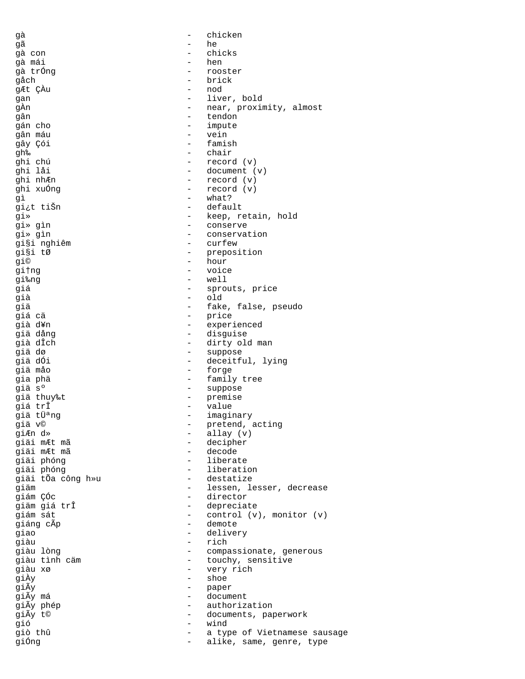| gà                        |                          | chicken                      |
|---------------------------|--------------------------|------------------------------|
| qã                        |                          | he                           |
| gà con                    |                          | chicks                       |
| gà mái                    | $\overline{\phantom{0}}$ | hen                          |
| gà trống                  | $\qquad \qquad -$        | rooster                      |
| gåch                      | $\qquad \qquad -$        |                              |
|                           |                          | brick                        |
| gÆt ÇÀu                   | $\overline{\phantom{0}}$ | nod                          |
| gan                       | -                        | liver, bold                  |
| gÀn                       |                          | near, proximity, almost      |
| gân                       | $\qquad \qquad -$        | tendon                       |
| gán cho                   |                          | impute                       |
| gân máu                   | $\qquad \qquad -$        | vein                         |
| gây Çói                   |                          | famish                       |
| gh‰                       | $\qquad \qquad -$        | chair                        |
| ghi chú                   | $\qquad \qquad -$        | record (v)                   |
| ghi låi                   | $\equiv$                 | document $(v)$               |
| ghi nhÆn                  | -                        | record (v)                   |
| ghi xuÓng                 | -                        | record (v)                   |
| gì                        |                          | what?                        |
|                           |                          |                              |
| gi¿t tiŠn                 | $\qquad \qquad -$        | default                      |
| qi≫                       | -                        | keep, retain, hold           |
| gi» gìn                   | -                        | conserve                     |
| gi» gìn                   | $\overline{\phantom{0}}$ | conservation                 |
| gi§i nghiêm               | $\overline{\phantom{0}}$ | curfew                       |
| gi§i tØ                   | $\equiv$                 | preposition                  |
| gi©                       | $\overline{\phantom{0}}$ | hour                         |
| gi†ng                     |                          | voice                        |
| gi‰ng                     | $\overline{\phantom{0}}$ | well                         |
| giá                       | -                        | sprouts, price               |
|                           |                          |                              |
| già                       | -                        | old                          |
| giä                       | -                        | fake, false, pseudo          |
| giá cä                    | $\qquad \qquad -$        | price                        |
| già d¥n                   | -                        | experienced                  |
| giä dång                  | -                        | disguise                     |
| già dÎch                  | $\qquad \qquad -$        | dirty old man                |
| giä dø                    | $\qquad \qquad -$        | suppose                      |
| giä dÓi                   | $\equiv$                 | deceitful, lying             |
| giä måo                   | Ξ.                       | forge                        |
| gia phä                   | Ξ.                       | family tree                  |
| giä s°                    | $\overline{\phantom{0}}$ | suppose                      |
| gi <mark>ä thuy‰t</mark>  |                          |                              |
|                           | -                        | premise                      |
| giá trÎ                   | $\qquad \qquad -$        | value                        |
| giä tܪng                  |                          | imaginary                    |
| giä v©                    |                          | pretend, acting              |
| giÆn d»                   |                          | allay $(v)$                  |
| giäi mÆt mã               | -                        | decipher                     |
| gi <mark>äi mÆt mã</mark> | $\overline{\phantom{0}}$ | decode                       |
| giäi phóng                |                          | liberate                     |
| giäi phóng                |                          | liberation                   |
| giäi tÕa công h»u         | $-$                      | destatize                    |
| giäm                      |                          | lessen, lesser, decrease     |
| giám ÇÓc                  |                          | director                     |
| giäm giá trÎ              | $\qquad \qquad -$        | depreciate                   |
|                           |                          |                              |
| giám sát                  | $\qquad \qquad -$        | control (v), monitor (v)     |
| giáng cÃp                 | $\overline{\phantom{0}}$ | demote                       |
| giao                      |                          | delivery                     |
| giàu                      | $\overline{\phantom{0}}$ | rich                         |
| giàu lòng                 | $\qquad \qquad -$        | compassionate, generous      |
| giàu tình cäm             |                          | touchy, sensitive            |
| giàu xø                   |                          | very rich                    |
| giÀy                      |                          | shoe                         |
| giÃy                      | -                        | paper                        |
| giÃy má                   |                          | document                     |
| giÃy phép                 |                          | authorization                |
|                           |                          |                              |
| giÃy t©                   |                          | documents, paperwork         |
| gió                       | $-$                      | wind                         |
| giò thû                   | $\overline{\phantom{0}}$ | a type of Vietnamese sausage |
| giống                     |                          | alike, same, genre, type     |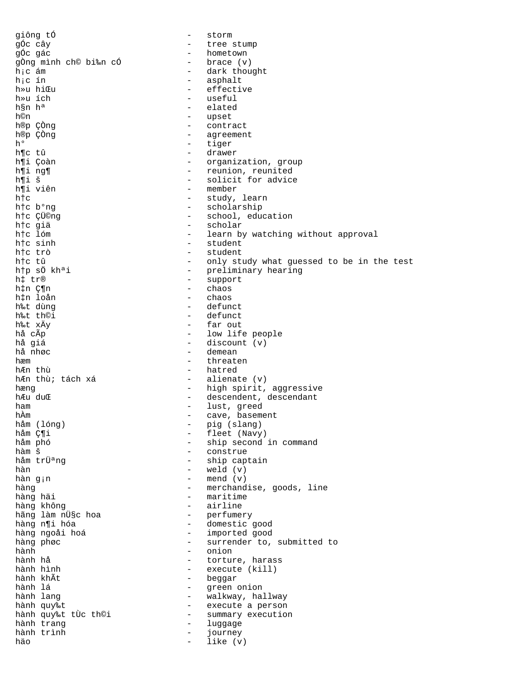giông tố  $-$  storm gÓc cây dia ann ann an tree stump gÓc gác dia ann an t-- hometown<br>- brace (v) gÒng mình ch© bi‰n cÓ<br>hịc ám h¡c ám - dark thought h¡c ín - asphalt h»u hiŒu - effective h»u ích  $h$ a - useful - useful - useful - useful - useful - elated - elated - elated - elated - elated - elated - elated - elated - elated - elated - elated - elated - elated - elated - elated - elated - elated - elated -- elated h©n - upset h®p ÇÒng - contract h®p ÇÒng  $\begin{array}{ccc} - & \text{agreement} \\ \text{h}^{\circ} & - & \text{tiger} \end{array}$ - tiger h¶c tû - drawer h¶i Çoàn - organization, group h¶i ng¶ - reunion, reunited<br>h¶i š h¶i š - solicit for advice - member h†c - study, learn<br>h†c b°ng - scholarship - scholarship h†c b°ng<br>h†c ÇÜ©ng - scholarship<br>- school, edu h†c ÇÜ©ng - school, education h†c giä - scholar h†c lóm - learn by watching without approval<br>h†c sinh - student h†c sinh - student<br>h†c trò - student h†c trò - student - only study what guessed to be in the test h†p sÖ khªi - preliminary hearing h‡ tr® - support h‡n Ƕn - chaos h‡n loån - chaos h‰t dùng - defunct h‰t th©i - defunct - defunct - defunct - defunct - defunct - defunct - defunct - defunct - defunct - defunct h‰t xÄy - far out hå cÃp  $\overline{p}$  - low life people<br>hå qiá - discount (v) hå giá - discount (v) - demean hæm - threaten - hatred hÆn thù; tách xá - alienate (v) hæng 1988 – high spirit, aggressive<br>hæudu<br/>@ hændent, descendant hændent, descendant - descendent, descendant ham - lust, greed hÀm - cave, basement håm (lóng) - pig (slang) håm Ƕi - fleet (Navy)<br>håm phó - fleet (Navy) håm phó - ship second in command hàm š - construe - ship captain  $h$ àn  $-$  weld  $(v)$ hàn g<sub>i</sub>n  $-$  mend (v) hàng  $-$  merchandise, goods, line hàng häi  $-$  maritime hàng không  $-$  airline hãng làm nܧc hoa<br>hàng n¶i hóa - perfumery<br>- domestic good hàng ngoåi hoá - imported good hàng phøc  $\begin{array}{ccc} - & - & - \\ - & - & - \end{array}$  surrender to, submitted to hành hành - onion hành hå - torture, harass hành hình - execute (kill) hành khÃt - beggar hành lá<br>
hành lang<br>
hành lang<br>
ann ann ann an Sualaiseacha ann an Sualaiseacha ann an Sualaiseacha ann an Sualaiseacha - walkway, hallway hành quy‰t<br>hành quy‰t tÙc th©i summarv execution hành quy‰t tÙc th©i - summary execution hành trang  $\qquad \qquad -$  luggage hành trình - journey häo - like (v)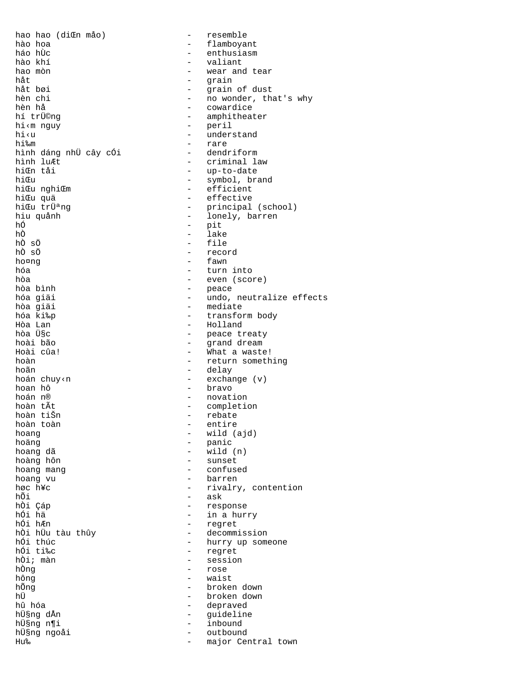hao hao (diŒn måo) - resemble - flamboyant hào hoa - enthusiasm háo hÙc hào khí - valiant - wear and tear hao mòn håt - grain - grain of dust håt bøi - no wonder, that's why hèn chi - cowardice hèn hả - amphitheater hí trü©ng - peril hi<m nguy - understand hi<u - rare hi‱m - dendriform hình dáng nhữ cây cói - criminal law hình luÆt - up-to-date hiŒn tåi - symbol, brand hiŒu - efficient hicu nghicm - effective hiŒu quä - principal (school) hicu trüang - lonely, barren hiu quảnh - pit hố  $-$  lake hÒ hÒ sÖ  $-$  file hÒ sÖ - record ho¤ng - fawn - turn into hóa - even (score) hòa - peace<br>- undo, neutralize effects hòa bình hóa giải - mediate hòa giải hóa ki‰p - transform body - Holland Hòa Lan hòa ܧc - peace treaty - grand dream hoài bão - What a waste! Hoài cûa! - return something hoàn hoãn - delay - exchange (v) hoán chuy<n - bravo hoan hô - novation hoán n® - completion hoàn tẤt - rebate hoàn tiŠn hoàn toàn - entire - wild (ajd) hoang - panic hoäng  $-$  wild  $(n)$ hoang dã - sunset hoàng hôn - confused hoang mang - barren hoang vu - rivalry, contention høc h¥c - ask hÕi - response hòi Çáp  $-$  in a hurry hối hä - regret hối h*E*n - decommission hòi hữu tàu thûy - hurry up someone hối thúc hối ti‰c - regret - session hồi; màn - rose hÒng - waist hông hỗng - broken down hÜ - broken down - depraved hû hóa - guideline hܧng dÅn - inbound hܧng n¶i - outbound hܧng ngoåi - major Central town Hu‰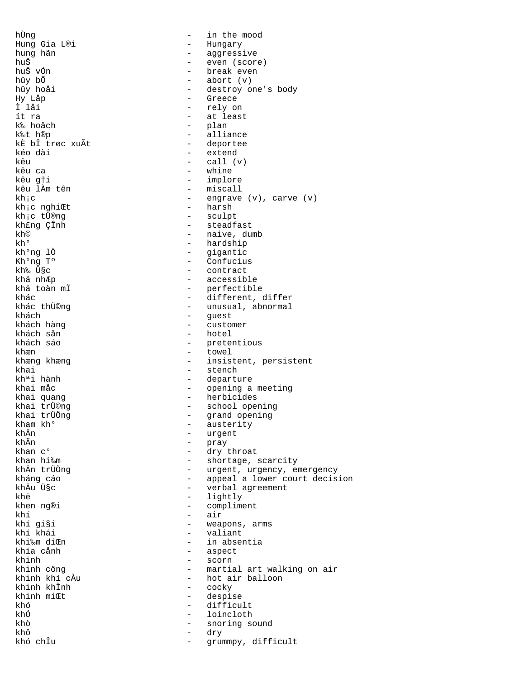Hung Gia L®i **-** Hungary hung hãn - aggressive huŠ vÓn - break even hûy bÕ - abort (v) Hy Låp - Greece Ì låi - rely on ít ra - at least k‰ hoåch - plan kÈ bÎ trøc xuÃt kéo dài  $-$  extend kêu  $\begin{array}{ccc} k \hat{e}u & - & \text{call (v)} \\ k \hat{e}u & ca & - & \text{while} \end{array}$ kêu g†i - implore kh;c nghiŒt<br>kh;c tÜ®ng kh¡c tÜ®ng - sculpt kh£ng ÇÎnh - steadfast<br>kh© - naive.du kh° - hardship kh°ng lÒ - gigantic Kh°ng Tº - Confucius kh‰ ܧc - contract khä nhÆp - accessible khách – guest – guest<br>khách hàng – custor khách hàng - customer khæn - towel khai - stench - stench - stench - stench - stench - stench - stench - stench - stench - stench - stench - stench - stench - stench - stench - stench - stench - stench - stench - stench - stench - stench - stench - stench khai quang - herbicides kham kh° - austerity<br>kham kh° - austerity<br>khÄn - urgent khÄn - urgent khÃn  $\frac{1}{2}$  han  $\frac{1}{2}$  han  $\frac{1}{2}$  han  $\frac{1}{2}$  han  $\frac{1}{2}$  han  $\frac{1}{2}$  han  $\frac{1}{2}$  han  $\frac{1}{2}$  han  $\frac{1}{2}$  han  $\frac{1}{2}$  han  $\frac{1}{2}$  han  $\frac{1}{2}$  han  $\frac{1}{2}$  han  $\frac{1}{2}$  han  $\frac{1}{2}$  han  $\frac{1}{$ khan  $e^{\circ}$  - dry throat<br>khan hi $\frac{1}{2}$  - shortage. khë - lightly khen ng®i  $-$  compliment khí - air khí khái - valiant khía cånh - aspect khinh - scorn khinh khÌnh<br>khinh miŒt khó - difficult khÓ - loincloth<br>khò - snoring s khô - dry khó chÎu  $-$  grummpy, difficult

hÙng  $-$  in the mood  $\begin{array}{cccc}\n\text{hu}\check{\mathbf{S}} & \text{for} & \text{if} & \text{iv} \\
\text{hu}\check{\mathbf{S}} & \text{vOn} & & & - & \text{if} & \text{iv} \\
\text{hu}\check{\mathbf{S}} & \text{vOn} & & & - & \text{iv} & \text{iv}\n\end{array}$ hûy hoåi - destroy one's body - alliance<br>- deportee - whine - miscall kh;c  $\begin{array}{ccc} \text{kh} \text{;c} & \text{ch} \text{;c} \\ \text{kh} \text{;c} & \text{n} \text{ch} \text{;c} \end{array}$ kh© - naive, dumb<br>kh<sup>o</sup> - naive, dumb khä toàn mÏ - perfectible khác - different, differ khác thÜ©ng - unusual, abnormal - hotel khách sáo  $-$  pretentious - insistent, persistent - departure khai måc - opening a meeting khai trü©ng<br>
khai trüÖng - school opening<br>
- grand opening<br>
- grand opening khai trÜÖng - grand opening khan hi‱m shortage, scarcity<br>khÄn trÜÖng shortage, scarcity - urgent, urgency, emergency kháng cáo - appeal a lower court decision khÄu ܧc - 1990 - 1991 verbal agreement - weapons, arms<br>- valiant khi‰m diŒn - in absentia khinh công - martial art walking on air - hot air balloon<br>- cocky - despise khò - snoring sound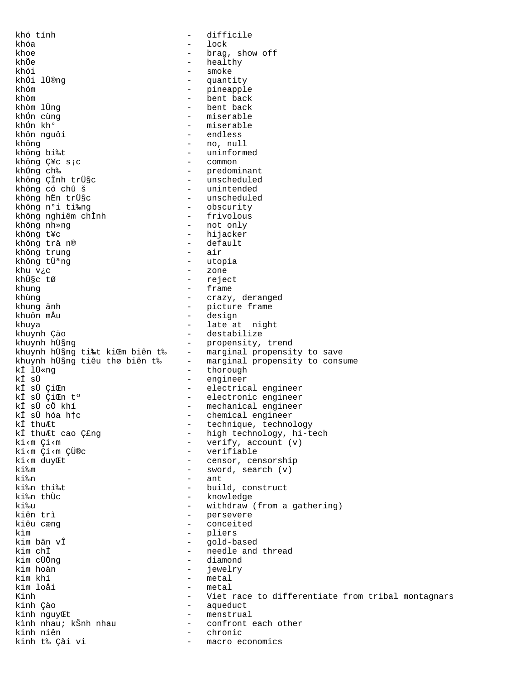khó tính  $\equiv$ difficile khóa  $\equiv$ lock - brag, show off khoe - healthy khõe - smoke khói - quantity khói lü®ng - pineapple khóm - bent back khòm - bent back khòm lüng - miserable khốn cùng khốn kh<sup>o</sup> - miserable khôn nguôi - endless - no, null khôna - uninformed không bi‰t - common không Ç¥c s;c - predominant<br>- unscheduled khống ch‰ - predominant<br>- unscheduled<br>- unscheduled<br>- obscurity<br>- frivolous<br>- not only không ÇÎnh trü§c không có chủ š không hËn trܧc không n°i ti‰ng không n°i ti‰ng<br>không nghiêm chÌnh<br>không nhang không nh»ng - hijacker không t¥c - default không trä n®  $-$  air không trung - utopia không tܪng - zone khu v¿c - reject khܧc tØ - frame khung - crazy, deranged khùng khung änh - picture frame - design khuôn mÅu - late at night khuya - destabilize khuynh Çäo - propensity, trend khuynh hܧng - marginal propensity to save khuynh hܧng ti‰t kiŒm biên t‰ khuynh hÜsng tiêu thơ biên t‰ - marginal propensity to consume<br>ki likng - thorough kÏ lÜ«nq - engineer ki sü - electrical engineer kÏ sÜ ÇiŒn - electronic engineer<br>- mechanical engineer<br>- chemical engineer<br>- technique, technology<br>- technique, technology ki sü ÇiŒn t° ki sü cö khí ki sü hóa h†c kÏ thuÆt - high technology, hi-tech kÏ thuÆt cao Ç£ng - verify, account (v) ki<m Çi<m - verifiable ki<m Çi<m ÇÜ®c - censor, censorship ki<m duy Et - sword, search (v)  $k$ i ‱m  $-$  ant ki‰n - build, construct ki‰n thi‰t - knowledge ki‰n thÙc - withdraw (from a gathering) ki‰u - persevere kiên trì kiêu cæng  $\sim$ conceited - pliers kìm - gold-based kim bän vÎ - needle and thread kim chÌ - diamond kim cÜÖng - jewelry kim hoàn - metal kim khí - metal kim loåi Kinh - Viet race to differentiate from tribal montagnars - aqueduct kinh Çào - menstrual kinh nguyŒt kình nhau; kŠnh nhau - confront each other  $-$  control  $$ kinh niên - macro economics kinh t‰ Çåi vi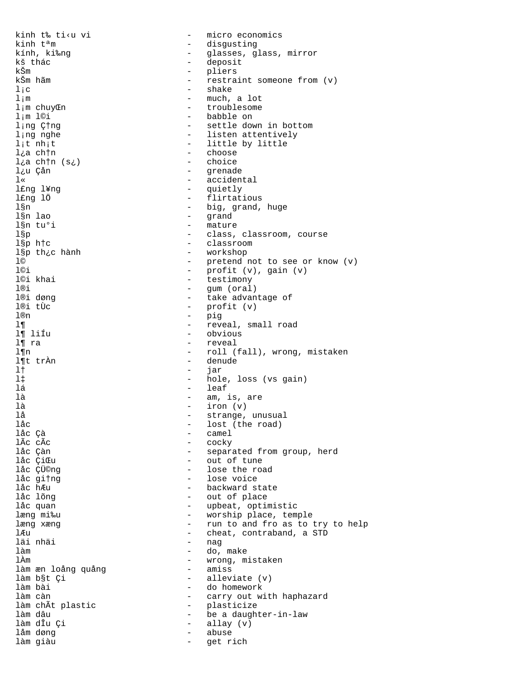kinh t‰ ti<u vi - micro economics kinh t<sup>a</sup>m - disgusting kính, ki‰ng - glasses, glass, mirror - deposit kš thác kŠm - pliers kŠm hãm - restraint someone from (v)  $-$  shake  $1/c$ - much, a lot  $1 \, \mathrm{m}$ - troublesome l;m chuyCn - babble on  $l$ ;m l©i - settle down in bottom l;ng Ctng - listen attentively l;ng nghe - little by little  $1$ ;t nh;t - choose l¿a chtn - choice l¿a chtn (s¿) - grenade l¿u Çån - accidental  $1$  « l£ng l¥ng - quietly - flirtatious l£ng lÖ - big, grand, huge l§n - grand 1§n lao l§n tu°i - mature l§p - class, classroom, course  $1$  $$p$  h $~$ tc - classroom - workshop l§p th¿c hành - pretend not to see or know (v) 1© - profit (v), gain (v)<br>- testimony l©i l©i khai - gum (oral) l®i - take advantage of 1®i døng - profit (v) l®i tÙc 1®n  $\equiv$ pig  $1\P$ - reveal, small road l¶ liÍu - obvious - reveal  $1\P$  ra - roll (fall), wrong, mistaken  $1 \P n$ - denude l¶t trÀn  $\omega_{\rm{eff}}$  $1<sub>1</sub>$ jar - hole, loss (vs gain)  $1^{\ddagger}$  $-$  leaf lá là - am, is, are iron (v)  $1a$  $\sim$ lå  $\equiv$ strange, unusual låc  $\overline{a}$ lost (the road)  $-$  camel låc Çà - cocky lÃc cÃc låc Çàn - separated from group, herd låc CiŒu - out of tune låc ÇÜ©nq - lose the road låc gitng - lose voice - backward state låc hÆu låc lõng  $\sim$   $$ out of place - upbeat, optimistic låc quan - worship place, temple læng mi‰u - run to and fro as to try to help læng xæng - cheat, contraband, a STD lÆu läi nhäi  $\overline{a}$ nag  $1$ àm  $\Delta \sim$ do, make - wrong, mistaken lÀm - amiss làm æn loång quảng - alleviate (v) làm b§t Çi - do homework làm bài làm càn - carry out with haphazard  $\sim$   $$ làm chÃt plastic plasticize - be a daughter-in-law làm dâu - allay (v) làm dÎu Çi låm døng  $\sim$ abuse làm giàu  $\sim$ get rich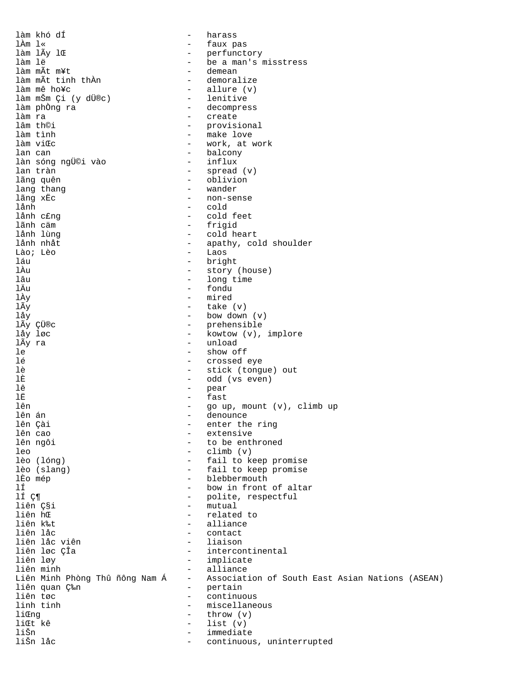làm khó dÍ - harass - faux pas<br>- perfuncte làm lÃy lŒ - perfunctory làm lë - be a man's misstress - demean<br>- demoralize làm mÃt tinh thÀn<br>làm mê ho¥c - allure (v)<br>- lenitive làm mŠm Çi (y dÜ®c)<br>làm phòng ra - decompress làm ra - create lâm th©i - provisional<br>
làm tình - make love làm tình - make love - work, at work lan can - balcony làn sóng ngÜ©i vào<br>lan tràn lan tràn <sup>-</sup> spread (v) - spread (v) - spread (v) - spread (v) - spread (v) - spread (v) - spread (v) - spread (v) - spread (v) - spread (v) - spread (v) - spread (v) - spread (v) - spread (v) - spread (v) - spread (v) - s - oblivion<br>- wander lang thang<br>lãng xËc lãng xËc - non-sense<br>lånh - cold lånh - cold lånh c£ng - cold feet lãnh cäm - frigid lånh lùng - cold heart lånh nhåt - apathy, cold shoulder Lào; Lèo - Laos láu - bright lÀu - story (house) lâu - long time<br>
1Äu - fondu lÄu - fondu lÀy - mired lÃy  $\qquad \qquad -$  take  $(v)$ <br>lắy  $\qquad \qquad -$  bow down  $l$ åy  $l$ äy  $l$ äy  $l$ äy  $l$ äy  $l$ äy  $l$ äy  $l$ äy  $l$ äy  $l$ äy  $l$ äy  $l$ äy  $l$ äy  $l$ äy  $l$ lÃy ÇÜ®c  $\frac{1}{\text{a}y}$   $\frac{1}{\text{a}y}$   $\frac{1}{\text{a}y}$   $\frac{1}{\text{a}y}$   $\frac{1}{\text{a}y}$   $\frac{1}{\text{a}y}$   $\frac{1}{\text{a}y}$   $\frac{1}{\text{a}y}$   $\frac{1}{\text{a}y}$   $\frac{1}{\text{a}y}$   $\frac{1}{\text{a}y}$   $\frac{1}{\text{a}y}$   $\frac{1}{\text{a}y}$   $\frac{1}{\text{a}y}$   $\$ låy løc - kowtow (v), implore - unload le - show off lé - crossed eye lè - stick (tongue) out - odd (vs even) lê - pear lË - fast<br>lên - qo u lên  $\frac{1}{2}$  - go up, mount (v), climb up lên án lên án 1988 – Henrik Henrik I. († 1898)<br>18 denounce – Henrik Henrik Henrik I. († 1898)<br>18 december – Henrik Henrik II. († 1898) lên Çài  $-$  enter the ring<br>
lên cao  $-$  extensive lên cao - extensive lên ngôi  $\begin{array}{ccc} - & + \text{to be enthroned} \\ - & - \text{climb (v)} \end{array}$ leo - climb (v) - fail to keep promise lèo (slang) - fail to keep promise - blebbermouth lÍ  $\begin{array}{ccc} \text{if} & - & \text{bow in front of altar} \\ \text{if } \zeta \P \end{array}$ lÍ Ç¶ - polite, respectful liên ǧi<br>liên hŒ - mutual - mutual - related liên hŒ - related to - alliance<br>- contact liên låc - contact liên låc viên<br>liên løc ÇÎa liên løc ÇÎa - intercontinental<br>liên løy - implicate - implicate liên minh - alliance<br>Liên Minh Phòng Thû ñông Nam Á - Associat - Association of South East Asian Nations (ASEAN) liên quan ljn<br>liên tøc continuous linh tinh  $-$  miscellaneous li $\mathfrak{m}$ g - throw (v) liŒt kê - list (v) liŠn - immediate - continuous, uninterrupted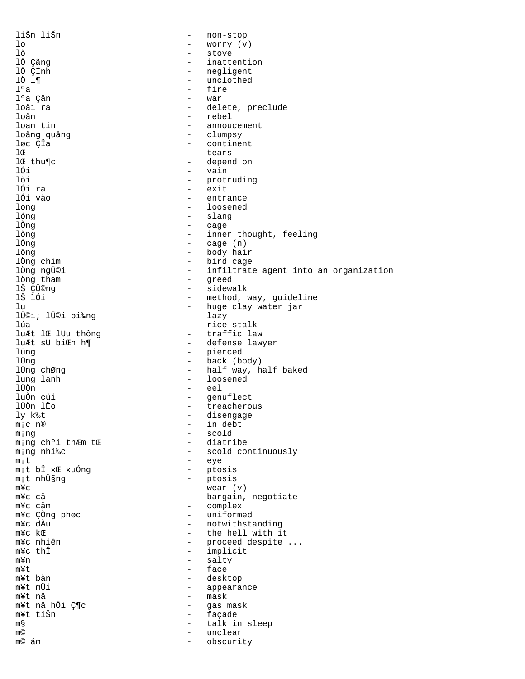liŠn liŠn  $\equiv$ non-stop - worry (v)  $1<sub>o</sub>$ lò - stove - inattention lö çãng lÖ ÇÍnh - negligent lò l¶ - unclothed  $1°a$ - fire l°a Çån - war - delete, preclude loåi ra - rebel loån loan tin - annoucement - clumpsy loång quång løc ÇÎa - continent - tears lŒ - depend on lo thu¶c lối - vain lòi - protruding - exit lói ra lối vào - entrance - loosened long lóng - slang - cage lÒng - inner thought, feeling lòng  $-$  cage  $(n)$ lÒng - body hair lông lòng chim - bird cage lòng ngü©i - infiltrate agent into an organization - greed<br>- sidewalk lòng tham lŠ ÇÜ©ng 1Š 1Ói - method, way, guideline - huge clay water jar lu - lazy lܩi; lÜ©i bi‰ng - rice stalk lúa - traffic law luÆt lŒ lÜu thông - defense lawyer luÆt sÜ biŒn h¶ - pierced  $1$ ûna - back (body) lÜna lÜng chØng - half way, half baked - loosened lung lanh lÜÖn - eel - genuflect<br>- treacherous luÒn cúi lÜÖn lËo - disengage ly k‰t - in debt  $m_1c$  n® - scold ming - diatribe ming choi thÆm tŒ - scold continuously m;ng nhi‰c - eye  $m_1 t$ - ptosis mit bî xŒ xuống - ptosis m<sub>i</sub>t nhܧnq - wear  $(v)$  $m \mathbf{Y}$ C - bargain, negotiate m¥c cä - complex m¥c cäm - uniformed m¥c CÒng phøc - notwithstanding m¥c dÀu - the hell with it  $m$ ¥c k $E$ m¥c nhiên - proceed despite ... - implicit m¥c thÎ - salty  $mYn$ - face m¥t - desktop m¥t bàn - appearance m¥t mÛi - mask m¥t nå m¥t nå hÖi Ƕc - gas mask - façade m¥t tiŠn - talk in sleep m§  $m$  $\odot$  $\sim$ unclear m© ám  $\sim$ obscurity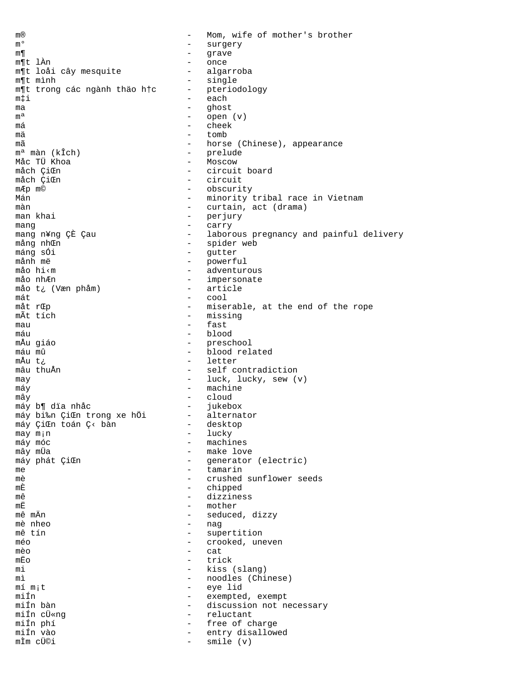m® - Mom, wife of mother's brother m° - surgery m¶ state and the state of the state of the state of the state of the state of the state of the state of the state of the state of the state of the state of the state of the state of the state of the state of the state of t m¶t lÀn - once m¶t loåi cây mesquite - algarroba m¶t mình - single m¶t trong các ngành thảo h†c - pteriodology<br>mti m‡i - each ma  $-\qquad -\qquad$  ghost  $m^a$  $-$  open  $(v)$ <br> $-$  cheek má - cheek mä - tomb mã  $-$  horse (Chinese), appearance mª màn (kÎch) - prelude Måc TÜ Khoa - Moscow - circuit board måch ÇiŒn - circuit mÆp m©  $\qquad$  - obscurity Mán Mán - minority tribal race in Vietnam màn - curtain, act (drama) - perjury<br>- carry mang  $\frac{1}{2}$  mang  $\frac{1}{2}$   $\frac{1}{2}$   $\frac{1}{2}$   $\frac{1}{2}$   $\frac{1}{2}$   $\frac{1}{2}$   $\frac{1}{2}$   $\frac{1}{2}$   $\frac{1}{2}$   $\frac{1}{2}$   $\frac{1}{2}$   $\frac{1}{2}$   $\frac{1}{2}$   $\frac{1}{2}$   $\frac{1}{2}$   $\frac{1}{2}$   $\frac{1}{2}$   $\frac{1}{2}$   $\frac{1}{2}$   $\frac{1}{2}$  mang n¥ng ÇÈ Çau - - laborous pregnancy and painful delivery<br>mång nhŒn mång nhŒn - spider web máng sÓi - gutter - powerful måo hi‹m - adventurous - impersonate måo t¿ (Væn phåm) - article  $m$ át  $-$  cool måt r $\mathbb{E}$ p - miserable, at the end of the rope  $\widetilde{\mathbb{E}}$  - missing mÃt tích - missing mau - fast máu - blood - preschool<br>- blood rel máu mû  $-$  blood related<br>mÅu t¿ - letter<br>- self c mâu thuẩn  $-$  self contradiction may  $-$  luck, lucky, sew (v) máy  $-$  machine mây - cloud máy b¶ dïa nhåc - jukebox máy bi‰n ÇiŒn trong xe hÖi - alternator<br>máy CiŒn toán C< bàn - desktop máy ÇiŒn toán Ç< bàn - desktop may m<sub>i</sub>n - lucky may m¡n - lucky máy móc - machines - make love<br>- generator máy phát ÇiŒn - generator (electric)<br>me - tamarin me tamarin - tamarin<br>mà - crushed mè  $-$  crushed sunflower seeds mÈ de chipped mê - dizziness mË - mother - seduced, dizzy mè nheo - nag - supertition<br>- crooked un méo - crooked, uneven mèo - cat mËo - trick mi - kiss (slang)<br>mi - noodles (Chi mì  $-$  noodles (Chinese)<br>mí mit  $-$  eye lid - eye lid<br>- exempted miín  $-$  exempted, exempt miÍn bàn - discussion not necessary miÍn cÜ«ng - reluctant miÍn phí - free of charge miÍn vào - entry disallowed smile (v)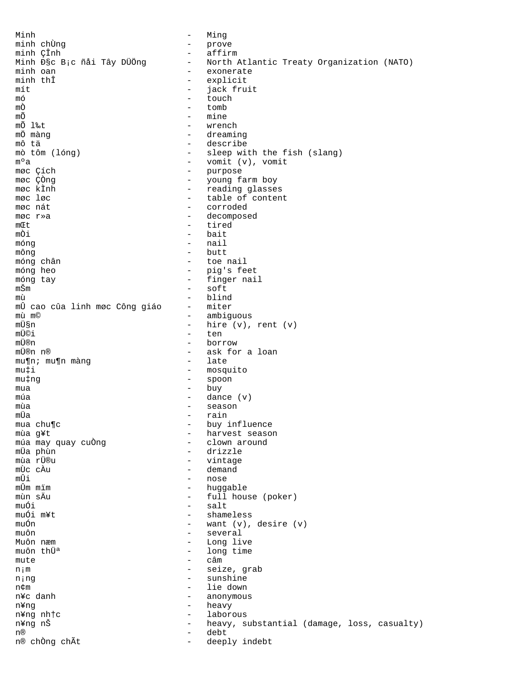Minh  $\equiv$ Minq minh chÙng  $\equiv$ prove minh ÇÎnh  $\frac{1}{2}$ affirm Minh Чc B;c ñåi Tây DÜÖng North Atlantic Treaty Organization (NATO)  $\equiv$ minh oan  $\equiv$ exonerate minh thî  $\overline{a}$ explicit  $\overline{a}$ jack fruit mít  $\equiv$ touch mó  $-$  tomb mÒ mÕ - mine mÕ l‰t - wrench - dreaming mÖ màng mô tä - describe mò tôm (lóng) - sleep with the fish (slang) - vomit  $(v)$ , vomit m°a møc Çích - purpose møc ÇÒng  $\omega_{\rm{max}}$ young farm boy - reading glasses møc kÌnh møc løc  $\overline{a}$ table of content  $\mathbf{r}$ corroded møc nát møc r»a  $\equiv$ decomposed  $m$ *C* $t$ - tired nÕi  $-$  hait móna  $-$  nail  $-$  butt môna móng chân - toe nail móng heo - pig's feet - finger nail móng tay mŠm  $\equiv$ soft mù blind mÛ cao cûa linh møc Công giáo  $\equiv$ miter mù m©  $\overline{a}$ ambiguous mܧn  $\mathbf{r}$ hire (v), rent (v) mܩi  $\equiv$ ten - borrow mܮn mܮn n® - ask for a loan  $-$  late mu¶n; mu¶n màng - mosquito  $mu \ddagger i$  $\omega_{\rm{max}}$ mu‡ng spoon - buy mua  $-$  dance  $(v)$ múa - season mùa mÜa  $\overline{a}$ rain mua chu¶c - buy influence - harvest season mùa g¥t - clown around múa may quay cuÒng - drizzle mÜa phùn - vintage mùa rÜ®u  $m\tilde{l}$   $\sigma$   $\tilde{\Delta}$  $n$ - demand mÛi - nose mÛm mïm - huggable - full house (poker) mùn sÄu muÓi - salt muÓi m¥t shameless  $\overline{a}$ muÓn want (v), desire (v)  $\overline{a}$ muôn several  $\overline{a}$  $\overline{a}$ Muôn næm Long live  $\mathbf{r}$ muôn thü<sup>a</sup> long time  $c$ âm mute - seize, grab  $n<sub>i</sub>$  m njng - sunshine - lie down n¢m n¥c danh - anonymous - heavy n¥ng n¥ng nh†c  $\sim$ laborous  $\equiv$ heavy, substantial (damage, loss, casualty) n¥ng nŠ  $n(R)$ debt  $\sim$ n® chÒng chÃt deeply indebt  $\equiv$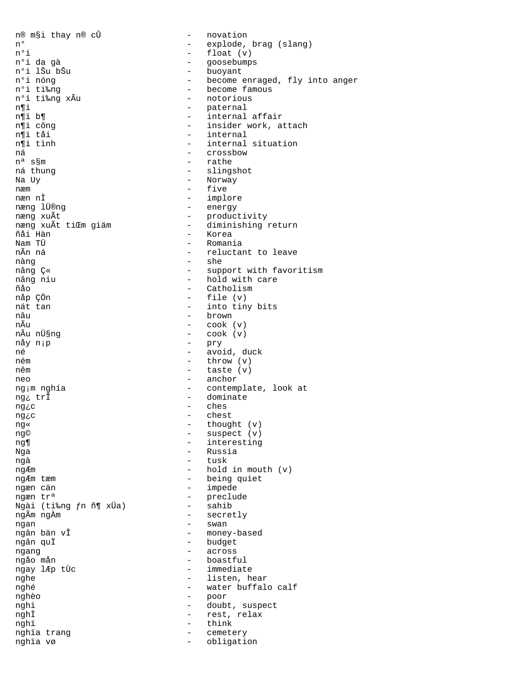n® m§i thay n® cÛ - novation n° - explode, brag (slang) n°i  $-$  float  $(v)$ nºi da gà - goosebumps - buoyant n°i lŠu bŠu - become enraged, fly into anger n°i nóng - become famous nºi ti‰nq n°i ti‰ng xÃu - notorious - paternal n¶i - internal affair n¶i b¶ n¶i cônq - insider work, attach n¶i tåi - internal n¶i tình - internal situation ná - crossbow  $n^a$  s $\S$ m - rathe - slingshot ná thung - Norway Na Uy  $\equiv$ næm five - implore næn nÌ - energy næng lÜ®ng - productivity næng xuÃt - diminishing return næng xuÃt tiŒm giäm - Korea ñåi Hàn Nam TÜ  $-$  Romania nẫn ná - reluctant to leave - she nàng - support with favoritism nâng Ç« - hold with care nâng niu - Catholism ñåo file (v) nåp ÇÖn  $\overline{a}$ - into tiny bits nát tan nâu - brown nÃu  $-$  cook  $(v)$ nÃu nܧng  $-$  cook  $(v)$ - pry nåy n<sub>i</sub>p né - avoid, duck ném  $-$  throw  $(v)$ nêm  $-$  taste  $(v)$ - anchor neo  $\frac{1}{2}$  and  $\frac{1}{2}$ ng;m nghía contemplate, look at - dominate ng¿ trÎ ches  $\overline{a}$ ng¿c chest  $\overline{a}$ ng¿c - thought (v) ng« - suspect (v) ng© - interesting ng¶ - Russia Nga - tusk ngà - hold in mouth  $(v)$ ngÆm - being quiet ngÆm tæm - impede ngæn cän - preclude ngæn tr<sup>a</sup>  $-$  sahib Ngài (ti‰ng fn ñ¶ xÜa) - secretly ngÃm ngÀm - swan ngan - money-based ngân bản vÎ - budget ngân quÏ - across ngang - boastful ngåo mån - immediate ngay lÆp tÙc nghe - listen, hear - water buffalo calf nghé - poor nghèo  $\sim$ doubt, suspect nghi - rest, relax nghÌ nghi  $\sim$ think cemetery nghia trang  $\sim$ nghïa vø  $\sim$ obligation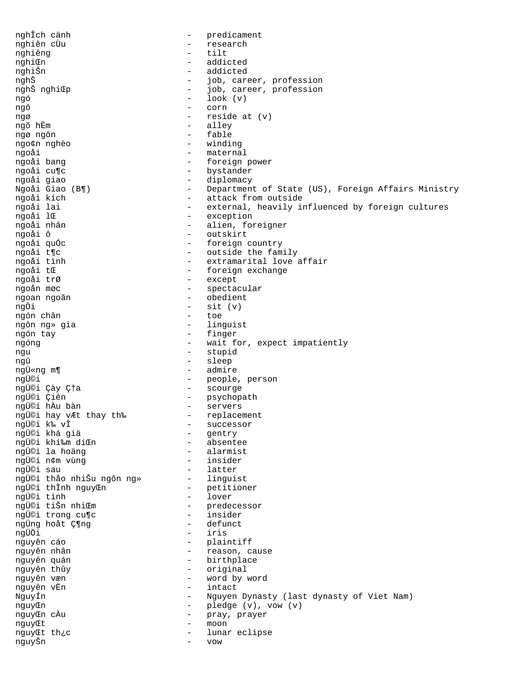nghÎch cänh - predicament - research nghiên cùu  $-$  tilt nghiêng - addicted nghiŒn - Job, career, profession<br>- Job, career, profession - addicted nghiŠn nghŠ nghŠ nghiCp job, career, profession  $-$  look  $(v)$ ngó - corn ngô  $-$  reside at  $(v)$ ngø - alley ngõ hÈm ngø ngôn - fable - winding ngo¢n nghèo - maternal ngoåi - foreign power ngoåi bang - bystander ngoåi cu¶c - diplomacy ngoåi giao - Ulpionacy<br>- Department of State (US), Foreign Affairs Ministry<br>- attack from outside Ngoåi Giao (B¶) ngoåi kích - external, heavily influenced by foreign cultures ngoåi lai - exception ngoåi lŒ - alien, foreigner ngoåi nhân - outskirt ngoåi ô - foreign country ngoåi guÓc - outside the family ngoåi t¶c - extramarital love affair ngoåi tình - foreign exchange ngoåi tŒ - except ngoåi trØ - spectacular ngoån møc - obedient ngoan ngoãn  $-$  sit  $(v)$ ngÒi - toe ngón chân - linguist ngôn ng» gia - finger ngón tay - wait for, expect impatiently ngóng - stupid nqu - sleep nqû ngܫng m¶ - admire ngữ nghiệp — and the people, person<br>
ngữ ciên<br>
ngữ ciên<br>
ngữ ciên<br>
ngữ ciên<br>
ngữ ciên<br>
ngữ chây vật thay the — scourge<br>
ngữ chây vật thay the — servers<br>
ngữ chây vật thay the — servers<br>
ngữ chây vật thay the — servers<br>
ngữ - gentry<br>- absentee ngܩi khá giả ngܩi khi‰m diŒn - alarmist ngܩi la hoäng - insider ngܩi n¢m vùng - latter nqܩi sau - predecessor<br>- insider ngܩi tiŠn nhiŒm ngܩi trong cu¶c - defunct ngÜng hoåt Ƕng - iris nqÜÖi - plaintiff<br>- reason, cause nguyên cáo nguyên nhân - birthplace nguyên quán - original nguyên thûy - word by word nguyên væn - intact nquyên vËn - Nguyen Dynasty (last dynasty of Viet Nam) NquyÍn - pledge (v), vow (v) nguyCn  $\omega_{\rm{eff}}$ nguyŒn cÀu pray, prayer - moon nguyŒt - lunar eclipse nguyCt th¿c  $\sim$ nguyŠn VOW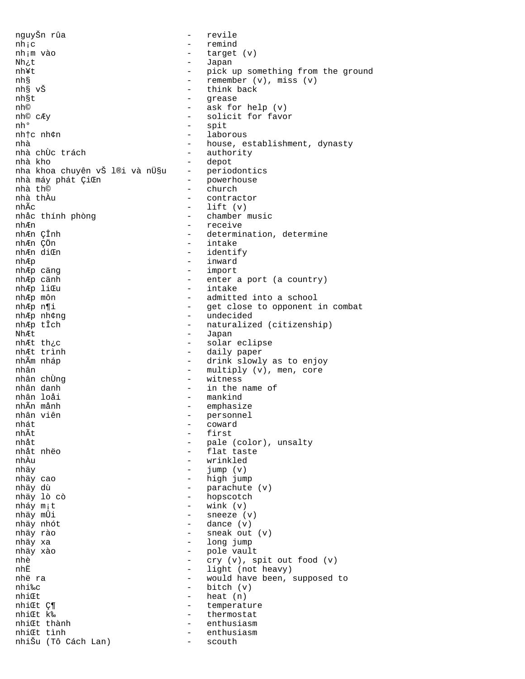nquyŠn rûa  $\equiv$ revile  $nh;c$  $\equiv$ remind nh;m vào  $\equiv$ target (v) Japan Nh¿t  $\sim$ - pick up something from the ground nh¥t  $\omega_{\rm{max}}$ remember  $(v)$ , miss  $(v)$ nh§ nh§ vŠ - think back  $\equiv$ nh§t grease - ask for help (v) nh© - solicit for favor nh© cÆy nho - spit nhtc nh¢n  $\Delta \sim 10^{-11}$ laborous - house, establishment, dynasty nhà nhà chừc trách  $\omega_{\rm{max}}$ authority - depot nhà kho nha khoa chuyên vŠ l®i và nܧu - periodontics  $\frac{1}{2}$ nhà máy phát ÇiŒn powerhouse  $\frac{1}{2}$ nhà th© church nhà thầu - contractor  $-$  lift  $(v)$ nhÃc - chamber music nhắc thính phòng - receive nhÆn - determination, determine nhÆn ÇÎnh - intake nhÆn CÖn - identify nhÆn diŒn - inward nhÆp - import nhÆp cäng - enter a port (a country) nhÆp cänh - intake nhÆp liŒu - admitted into a school nhÆp môn - get close to opponent in combat nhÆp n¶i - undecided nhÆp nh¢ng nhÆp tÎch - naturalized (citizenship) - Japan NhÆt nhÆt th¿c - solar eclipse nhÆt trình - daily paper nhẫm nháp - drink slowly as to enjoy - multiply (v), men, core nhân  $\Delta \sim 10^4$ nhân chững witness nhân danh - in the name of - mankind nhân loải nhẫn mảnh  $\overline{a}$ emphasize nhân viên personnel  $\overline{a}$ nhát  $\overline{a}$ coward nhÃt  $\overline{a}$ first - pale (color), unsalty  $nh<sup>4+</sup>$ nhåt nhëo - flat taste nhÀu - wrinkled  $\mathbf{r}$ nhäy jump (v) nhäy cao - high jump nhäy dù  $\omega_{\rm{max}}$ parachute (v) - hopscotch nhäy lò cò - wink $(\mathtt{v})$ nháy m<sub>i</sub>t nhäy mÛi sneeze (v)  $\sim$  . dance (v) nhäy nhót  $\equiv$ nhäy rào  $\overline{a}$ sneak out (v)  $\overline{a}$ long jump nhäy xa - pole vault nhäy xào nhè  $\equiv$ cry (v), spit out food (v) nhË - light (not heavy) nhë ra - would have been, supposed to  $-$  bitch  $(v)$ nhi‰c  $-$  heat  $(n)$ nhiŒt nhiŒt Ƕ  $\sim$ temperature nhiŒt k‰  $\sim$ thermostat nhi∉t thành  $\sim$ enthusiasm nhiŒt tình  $\sim$ enthusiasm nhiŠu (Tô Cách Lan)  $\overline{a}$ scouth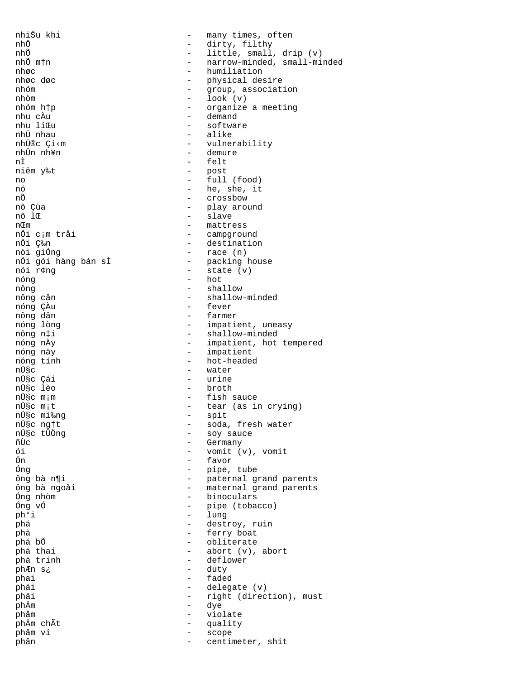nhiŠu khi  $\equiv$ many times, often nhÖ dirty, filthy  $\equiv$ nhõ - little, small, drip (v) - narrow-minded, small-minded nhõ mțn - humiliation nhøc nhøc døc - physical desire  $\equiv$ nhóm group, association  $-$  look (v) nhòm nhóm htp - organize a meeting - demand nhu cÀu nhu liŒu - software - alike nhÜ nhau nhܮc Ci<m - vulnerability - demure nhữn nh¥n - felt nÌ - post<br>- full (food) niêm y‰t no -  $he$ , she, it nó nÕ - crossbow - play around nô Çùa - slave nô lŒ - mattress nŒm - campground nÖi c;m tråi - destination nÖi ljn  $-$  race  $(n)$ nòi giống - packing house nÖi gói hàng bán sÌ  $-$  state  $(v)$ nói r¢ng  $-$  hot nóng - shallow nông - shallow-minded nông cản - fever nóng ÇÀu - farmer nông dân - impatient, uneasy nóng lòng - shallow-minded nông n‡i nóng nÄy - impatient, hot tempered - impatient nóng näy nóng tính - hot-headed nܧc - water nܧc Çái - urine - broth nܧc lèo - fish sauce nܧc m;m - tear (as in crying) nܧc m;t - spit nܧc mi‰ng - soda, fresh water nܧc ng†t - soy sauce nܧc tÜÖng - Germany ñÙc ói - vomit (v), vomit - favor Ön Ónq - pipe, tube ông bà n¶i - paternal grand parents - maternal grand parents ông bà ngoải - binoculars Óng nhòm  $\omega_{\rm{max}}$ Óng vÓ pipe (tobacco) - lung ph°i phá destroy, ruin  $\equiv$ ferry boat phà  $\overline{a}$ - obliterate phá bố - abort (v), abort phá thai - deflower phá trinh - duty phÆn s¿ phai - faded  $-$  delegate  $(v)$ phái - right (direction), must phäi - dye phÄm - violate phåm phÄm chÃt  $\equiv$ quality phảm vi  $\equiv$ scope centimeter, shit phân  $\sim$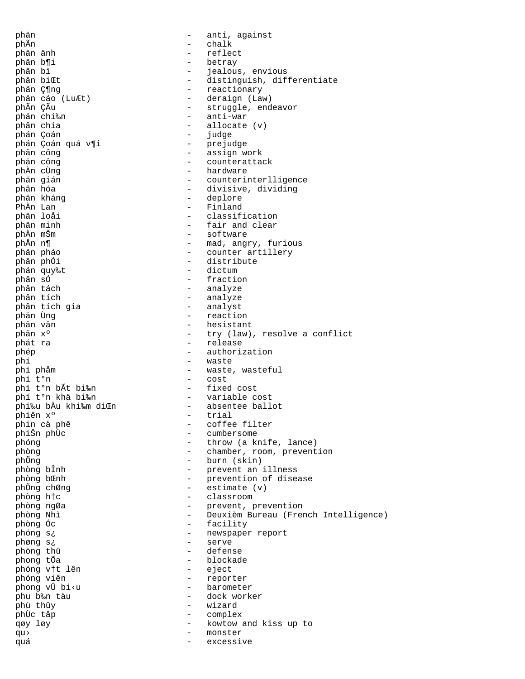phän - anti, against phÃn - chalk phän änh - reflect phän b¶i - betray phân bì  $-$  jealous, envious<br>phân biŒt  $-$  distinguish, dif phân biCt<br>
phân C¶ng<br>
- distinguish, differentiate<br>
- reactionary phän Ƕng - reactionary phän cáo (LuÆt) - deraign (Law)<br>phẫn Cẫu - - struggle, end phÃn ÇÃu - struggle, endeavor<br>phän chi‰n - struggle, endeavor phän chi‰n - anti-war phân chia - allocate (v) - judge<br>- prejudge phán Çoán quá v¶i phân công  $\qquad$  - assign work phän công en anders anders a counterattack phÀn cÙng - hardware phän gián - counterinterlligence - divisive, dividing<br>phân kháng - divisive, dividing<br>- deplore phän kháng - deplore PhÀn Lan - Finland phân loåi - classification phân minh  $\qquad -$  fair and clear phần minh  $\qquad -$  software phÀn mŠm - software phÅn n¶ - mad, angry, furious - counter artillery phân phÓi - distribute phán quy‰t - dictum phân sÓ - fraction phân tách - analyze - analyze<br>- analyst phân tích gia<br>phän Ùng phän Ùng - reaction phân vân - hesistant - hesistant - hesistant - hesistant - hesistant - hesistant - hesistant - hesistant - hesistant - hesistant - hesistant - hesistant - hesistant - hesistant - hesistant - hesistant - hesistant - hesista phân x°  $-$  try (law), resolve a conflict phát ra - release phép - authorization phí - waste phí phảm  $-$  waste, wasteful phí t<sup>o</sup>n  $-$  cost - cost<br>- fixed cost phí t°n bÃt bi‰n<br>phí t°n khả bi‰n phí t°n khä bi‰n - variable cost phi‰u bÀu khi‱m diŒn - absentee ballot<br>phiên xº - trial phiên xº - trial<br>phin cà phê - coffee phin cà phê  $-$  coffee filter phišn phừ  $-$  cumbersome phiŠn phÙc - cumbersome<br>phóng - throw (a kr phóng  $\begin{array}{cccc} - &$  throw (a knife, lance)<br>phòng  $\begin{array}{cccc} - &$  chamber, room, prevent - chamber, room, prevention phÕng - burn (skin) phòng bÎnh  $\qquad \qquad -$  prevent an illness<br>phòng b&nh  $\qquad \qquad -$  prevention of disea - prevention of disease phÕng chØng  $-$  estimate (v) phòng h†c - classroom phòng ngØa - prevent, prevention phòng Nhì - Deuxièm Bureau (French Intelligence) phòng Óc  $\qquad \qquad -$  facility phóng s¿ - newspaper report phøng s¿ - serve phòng thû - defense - blockade<br>- eject phóng v†t lên<br>phóng viên - reporter<br>- barometer phong vÛ bi<u phu b‰n tàu - dock worker phù thûy - wizard phÙc tåp - complex qøy løy - kowtow and kiss up to qu› - monster quá de contra de contra excessive de contra excessive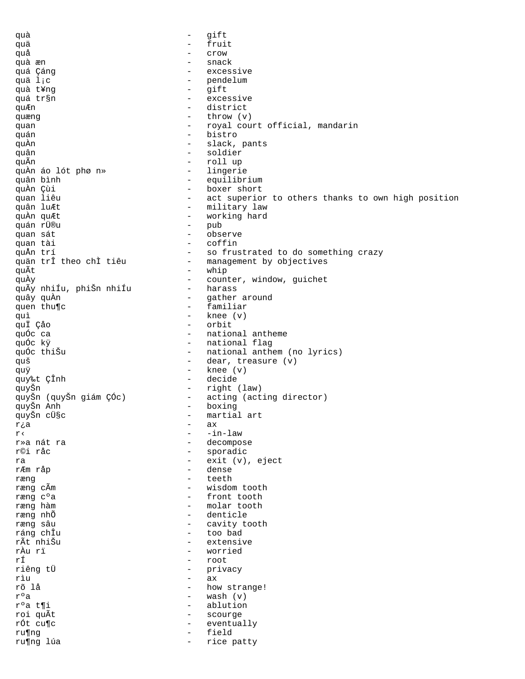quà gift  $\equiv$ quä  $\equiv$ fruit quå  $\equiv$ Crow quà æn snack quá Çáng excessive  $\sim$ quä lic  $\overline{a}$ pendelum quà t¥ng  $\overline{a}$ gift  $\frac{1}{2}$ excessive quá tr§n - district quÆn  $-$  throw  $(v)$ quæng - royal court official, mandarin quan - bistro quán - slack, pants quÀn - soldier quân  $\frac{1}{2}$ roll up quÃn - lingerie quÀn áo lót phø n» quân bình - equilibrium boxer short quÀn Çùi  $\sim$ quan liêu - act superior to others thanks to own high position - military law quân luÆt  $\sim$ quÀn quÆt working hard quán rÜ®u  $\equiv$ pub quan sát  $\sim$ observe quan tài - coffin quÅn trí - so frustrated to do something crazy - management by objectives quản trî theo chì tiêu - whip quÃt quÀy  $\sim$  . counter, window, guichet - harass quÃy nhiÍu, phiŠn nhiÍu  $\equiv$ gather around quây quÀn  $\overline{a}$ quen thu¶c familiar  $\equiv$ knee (v) quì quÏ Çåo  $\Delta \sim 10^4$ orbit - national antheme quốc ca quốc kÿ - national flag quốc thiŠu - national anthem (no lyrics) - dear, treasure (v) quš  $-$  knee  $(v)$ quÿ - decide quy‰t ÇÎnh - right (law) quyŠn - acting (acting director) quyŠn (quyŠn giám ÇÓc) - boxing quyŠn Anh - martial art quyŠn cܧc  $\overline{a}$ rja ax  $\equiv$  $-$ in $-$ law  $r<$ - decompose r»a nát ra r©i råc - sporadic - exit (v), eject ra rÆm råp - dense  $\mathbb{R}^{\mathbb{Z}}$ teeth ræng ræng cÃm  $\sim$   $$ wisdom tooth - front tooth ræng c°a - molar tooth ræng hàm ræng nhõ  $\overline{a}$ denticle ræng sâu  $\equiv$ cavity tooth ráng chÎu  $\overline{a}$ too bad rÃt nhiŠu  $\overline{a}$ extensive rÀu rï  $\mathbf{r}$ worried rÍ  $\equiv$ root riêng tÜ - privacy rìu  $\sim$ ax - how strange! rõ lå  $-$  wash  $(v)$  $r^{\circ}a$ r°a t¶i  $\sim$ ablution roi quÃt  $\equiv$ scourge rÓt cu¶c  $\equiv$ eventually field ru¶nq  $\sim$ ru¶ng lúa  $\equiv$ rice patty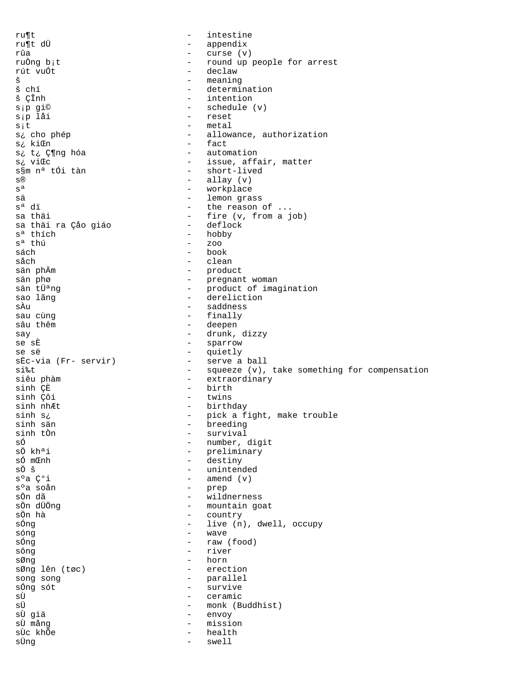$r \mathbf{u} \mathbf{f}$  $\equiv$ intestine ru¶t dÜ  $\equiv$ appendix  $-$  curse  $(v)$ rûa - round up people for arrest ruÒng b<sub>i</sub>t - declaw rút vuÓt š meaning  $\overline{a}$ š chí - determination š ÇÎnh - intention - schedule (v) s;p gi© - reset s;p låi - metal  $s$ <sub>i</sub>t s¿ cho phép - allowance, authorization - fact s: kiŒn - automation s¿ t¿ Ƕng hóa - issue, affair, matter s: viŒc - short-lived s§m nª tÓi tàn  $-$  allay  $(v)$  $S^{\textcircled{\tiny{\textregistered}}}$  $S<sup>a</sup>$ - workplace - lemon grass sä s<sup>a</sup> dï - the reason of ... - fire (v, from a job) sa thäi - deflock sa thải ra Çảo giáo - hobby s<sup>ª</sup> thích  $s^a$  thú  $-$  200 sách  $-$  book såch - clean - product<br>- pregnant woman<br>- product of imagination<br>- dereliction sän phÄm sän phø sän tÜ<sup>a</sup>ng sao lãng - saddness sÀu - finally sau cùng sâu thêm - deepen - drunk, dizzy say - sparrow se sÈ se së - quietly - serve a ball sËc-via (Fr- servir) - squeeze (v), take something for compensation si‰t - extraordinary siêu phàm  $-$  birth sinh ÇÈ - twins sinh Çôi - birthday sinh nhÆt - pick a fight, make trouble sinh s¿ - breeding sinh sän - survival sinh tÒn sÓ - number, digit sÖ kh<sup>a</sup>i - preliminary số mŒnh - destiny sÖ š - unintended  $-$  amend  $(v)$ s°a C°i - prep s°a soån  $\frac{1}{2}$  . sÖn dã wildnerness - mountain goat sön düöng sÖn hà  $\equiv$ country sÓng live (n), dwell, occupy  $\equiv$ sóng  $\overline{a}$ wave sÓng  $\overline{a}$ raw (food) - river sông - horn sØng - erection sØng lên (tøc) - parallel song song - survive sÓng sót sÙ - ceramic sÜ - monk (Buddhist) sÙ giä  $\equiv$   $\equiv$ envoy sÙ mång - mission sÙc khõe  $\sim$ health swell sÜng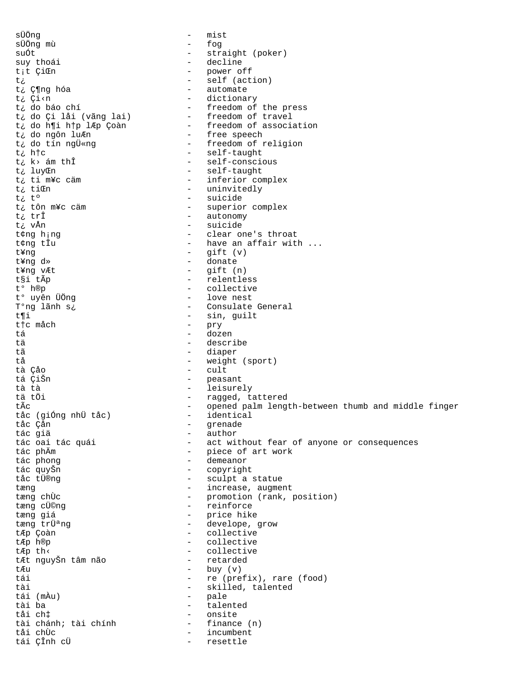sÜÖna mist  $\equiv$ sÜÖng mù - fog - straight (poker) suÓt - decline suy thoái - power off<br>- self (action) t<sub>i</sub>t ÇiŒn じこ - automate t¿ Ƕng hóa - dictionary t¿ Çi<n t¿ do báo chí - freedom of the press - freedom of travel<br>- freedom of association<br>- free speech t¿ do Çi låi (vãng lai) t¿ do h¶i h†p lÆp Çoàn t¿ do ngôn luÆn - freedom of religion t¿ do tín ngÜ«ng - self-taught t¿ h†c - self-conscious t¿ k> ám thÎ - self-taught t¿ luyCh - inferior complex t¿ ti m¥c cäm - uninvitedly t¿ tiŒn t¿ t° - suicide - superior complex t¿ tôn m¥c cäm - autonomy t¿ trî t¿ vÅn - suicide - clear one's throat t¢ng h;ng - have an affair with ... t¢ng tÎu  $-$  gift  $(v)$ t¥nq - donate t¥ng d»  $-$  gift  $(n)$ t¥ng vÆt - relentless t§i tÃp t° h®p  $\frac{1}{2}$ collective t° uyên ÜÖng - love nest - Consulate General T°ng lãnh s¿ - sin, guilt t¶i - pry t†c måch - dozen t á - describe tä - diaper  $+ \tilde{a}$ - weight (sport) tå  $-$  cult tà Çảo tá ÇiŠn  $\sim$   $$ peasant - leisurely tà tà - ragged, tattered tä tÖi - opened palm length-between thumb and middle finger tÃc identical tảc (giống nhữ tảc)  $\sim$ tåc Çån - grenade - author tác giả - act without fear of anyone or consequences tác oai tác quái - piece of art work tác phÄm - demeanor tác phong - copyright tác quyŠn tåc tÜ®nq - sculpt a statue - increase, augment tæng - promotion (rank, position) tæng chÙc - reinforce tæng cÜ©ng  $\sim$   $$ tæng giá price hike - develope, grow tæng trܪng - collective tÆp Çoàn - collective tÆp h®p - collective tÆp th< - retarded tÆt nguyŠn tâm não  $-$  buy  $(v)$  $E.R11$  $t \leq i$ - re (prefix), rare (food) - skilled, talented  $t \geq 1$ - pale tái (mÀu) tài ba  $\sim$   $$ talented tåi ch‡  $\sim$ onsite tài chánh; tài chính  $\sim$ finance (n) - incumbent tåi chÙc tái ÇÎnh cÜ - resettle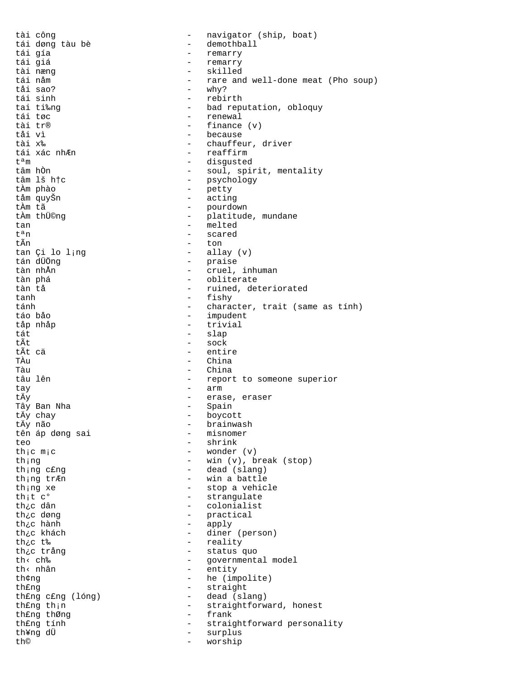tài công - navigator (ship, boat) tái døng tàu bè - demothball tái gía - remarry tái giá - remarry tài næng - skilled tái nåm - rare and well-done meat (Pho soup) tåi sao? - why? tái sinh - rebirth tai ti‰ng - bad reputation, obloquy tái tøc - renewal tài tr® - finance (v)<br>tải vì - because tåi vì - because - chauffeur, driver tái xác nh*E*n  $-$  reaffirm t<sup>a</sup>m - disgusted<br>
tâm hồn - soul, spir tâm hÒn  $\begin{array}{ccc} - & \text{ soul, spirit, mentally} \\ - & \text{spirit, mentally} \end{array}$ - psychology<br>- petty tÀm phào - petty tåm quyŠn - acting tÀm tã - pourdown tÀm thÜ©ng  $\qquad \qquad -$  platitude, mundane tan - melted<br>
t<sup>a</sup>n - scared  $t^a$ n - scared  $\overline{t}$ ñn - scared - ton - ton<br>- allay (v) tan Çi lo l<sub>i</sub>ng<br>tán dÜÖnq - praise tàn nhần  $-$  cruel, inhuman tàn phá - obliterate tàn tå - ruined, deteriorated tanh - fishy tánh - character, trait (same as tính) táo båo - impudent tåp nhåp - trivial tát <sup>–</sup> slap – slap – slap – slap – slap – slap – slap – slap – slap – slap – slap – slap – slap – slap – slap – slap – slap – slap – slap – slap – slap – slap – slap – slap – slap – slap – slap – slap – slap – slap – slap tÃt - sock tÃt cä<br>
Tầu - entire<br>
Tầu - China TÀu - China - China tâu lên - report to someone superior tay - arm - erase, eraser<br>- Spain Tây Ban Nha<br>tÄy chay tÄy chay - boycott - brainwash<br>- misnomer tên áp døng sai teo - shrink<br>th<sub>i</sub>c m<sub>i</sub>c - wonder - wonder - wonder (v) th;ng - win (v), break (stop) th; nq cfng example and cfng - dead (slang)  $\frac{1}{2}$  tr $\overline{E}$ n  $\overline{E}$  - win a battle th; ng xe - stop a vehicle th<sub>i</sub>t  $c^{\circ}$  - strangulate<br>th<sub>i</sub>c dân - colonialist - colonialist th¿c døng  $\begin{array}{cccc} - &$  practical  $\text{th}_c$ c hành  $\begin{array}{cccc} - &$  apply th¿c hành - apply - diner (person) th<sub>¿</sub>c t‰<br>th<sub>¿</sub>c t‰ - reality<br>th<sub>¿</sub>c trång - status th¿c trång  $\begin{array}{ccc} \text{th} & \text{th} & \text{th} \\ \text{th} & \text{th} & \text{th} \\ \text{th} & \text{th} & \text{th} \\ \end{array}$ th< ch‰ - governmental model<br>th< nhân - entity - entity th¢ng he (impolite) th£ng - straight<br>th£ng c£ng (lóng) - dead (sla - dead (slang) th£ng th;n extraightforward, honest th£ng thØng  $-$  frank th£ng tính - straightforward personality<br>th¥ng dÜ - surplus - surplus th© - worship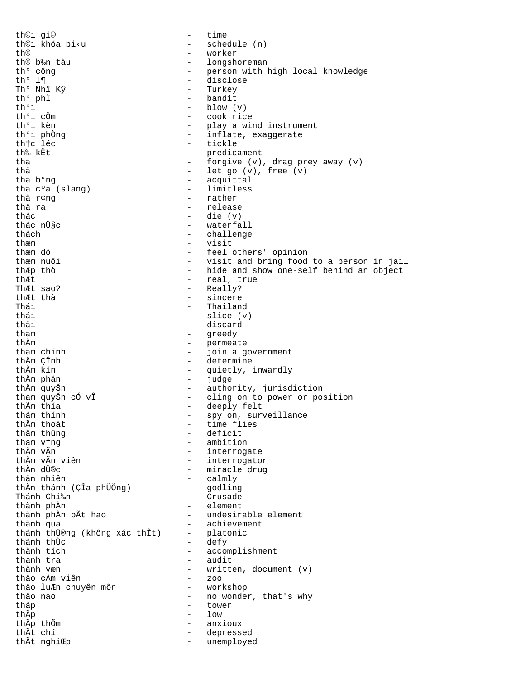th©i gi© - time th©i khóa bi‹u - schedule (n)<br>th® - worker th® - worker<br>th® b‰n tàu - - longsho th® b‰n tàu  $\begin{array}{ccc} - & 1$ ongshoreman thº công  $\end{array}$  -  $\begin{array}{ccc} - & 1$ ongshoreman  $\end{array}$ th° công - person with high local knowledge th<sup>o</sup> l¶ - disclose Th° Nhï Kÿ - Turkey th<sup>o</sup> phÌ - bandit<br>th<sup>o</sup>i - blow ( th°i - blow (v)<br>th°i cÖm - cook ric th°i cÖm - cook rice th<sup>o</sup>i kèn  $\begin{array}{ccc} - &$  play a wind instrument<br>th<sup>o</sup>i phòng  $\begin{array}{ccc} - &$  inflate, exaggerate th<sup>o</sup>i phÒng  $\qquad \qquad -$  inflate, exaggerate<br>this lés th†c léc - tickle<br>th‰ kËt - tickle - tickle - predicament tha  $\frac{1}{100}$  - forgive (v), drag prey away (v) thä - let go (v), free (v) - acquittal<br>- limitless thä c°a (slang)<br>thà r¢nq thà r¢ng - rather thä ra - release thác - die (v) - waterfall thách - challenge thæm - visit thæm dò - feel others' opinion - visit and bring food to a person in jail thÆp thò - hide and show one-self behind an object thÆt - real, true ThÆt sao? - Really? thÆt thà - sincere Thái - Thailand<br>thái - Slice (v thái - slice (v) thäi - discard<br>tham - discard<br>- greedy tham  $\qquad - \qquad \qquad \text{greedy}$ <br>thÂm  $\qquad - \qquad \text{permea}$  $\begin{array}{ccc}\n\text{th} \tilde{\text{A}}\text{m} & - & \text{permeate} \\
\text{th} \text{am} & \text{ch} \tilde{\text{h}}\text{h} & - & \text{ioin} & \text{a} \\
\end{array}$ tham chính  $\begin{array}{ccc} - & - \end{array}$  join a government<br>thầm CÎnh  $\begin{array}{ccc} - & - \end{array}$  determine thÄm ÇÎnh  $\frac{1}{2}$  determine<br>thÀm kín - quietly. thÀm kín - quietly, inwardly - judge thĂm quyŠn<br>tham quyŠn cÓ vÎ - authority, jurisdiction<br>- cling on to power or pow tham quyŠn cÓ vÎ - cling on to power or position thÃm thía - deeply felt thám thính  $\begin{array}{cccc} - & \text{spy on, surveillance} \\ \text{th} \tilde{Am} & \text{th} \tilde{ad} & \text{th} \end{array}$ thÃm thoát - time flies thâm thûng<br>
tham vịng<br>
ambition<br>
- ambition tham v†ng - ambition thĂm vÃn interrogate<br>thĂm vÃn viên interrogato thĂm vÃn viên - interrogator<br>thần dimec - interrogator<br>- miracle drug thÀn dÜ®c - miracle drug - calmly<br>- godling thÀn thánh (ÇÎa phÜÖng) Thánh Chi‰n - Crusade thành phần - Crusade - Crusade - Crusade - Crusade - Crusade - Crusade - Crusade - Crusade - Crusade - Crusade - Crusade - Crusade - Crusade - Crusade - Crusade - Crusade - Crusade - Crusade - Crusade thành phÀn - element - undesirable element thành quả<br>thánh thữ®ng (không xác thÎt) - platonic thánh thÜ®ng (không xác thÎt) –<br>thánh thùc thánh thÙc - defy thành tích - accomplishment thanh tra - audit - written, document (v)<br>- zoo thäo cÀm viên - zoo thäo luÆn chuyên môn<br>thäo nào - no wonder, that's why<br>- tower tháp - tower thÃp thốm  $\frac{1}{2}$  anx: thÃp thÕm  $\overline{a}$  th $\overline{b}$  th $\overline{b}$  anxioux  $\overline{b}$  anxioux  $\overline{b}$  anxioux thÃt chí - depressed - unemployed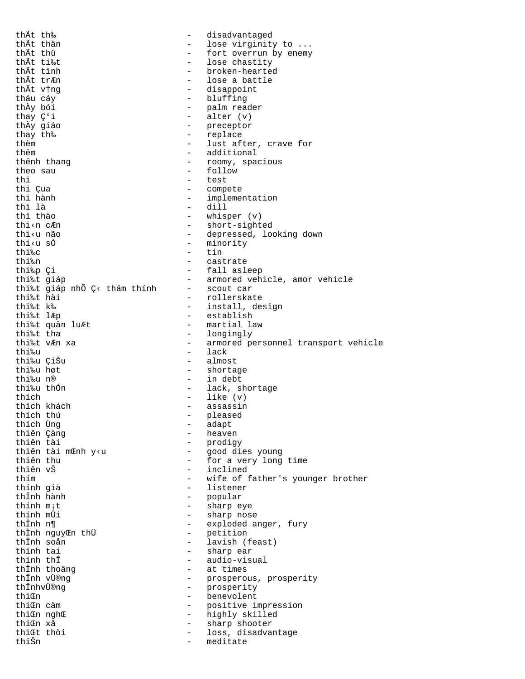thÃt th‰ - disadvantaged thÃt thân - lose virginity to ... thÃt thû  $-$  fort overrun by enemy<br>thÃt ti‰t thÃt ti‰t<br>thÃt tình - lose chastity<br>- broken-hearte thÃt tình  $\begin{array}{ccc} \text{th} \tilde{A} \text{t} & \text{th} \tilde{B} \text{t} & \text{th} \tilde{B} \text{t} & \text{th} \tilde{B} \text{t} & \text{th} \tilde{B} \text{t} & \text{th} \tilde{B} \text{t} & \text{th} \tilde{B} \text{t} & \text{th} \tilde{B} \text{t} & \text{th} \tilde{B} \text{t} & \text{th} \tilde{B} \text{t} & \text{th} \tilde{B} \text{t} & \text{th} \tilde{B} \text{t} &$ thÃt trÆn - lose a battle thÃt v†ng - disappoint tháu cáy<br>
thâu cáy<br>
thầy bói<br>
- palm rea thÀy bói  $\begin{array}{ccc} - &$  palm reader<br>thay  $\mathbb{C}^9$  i  $\end{array}$  - alter  $(v)$ thay  $\zeta^{\circ}$ i - alter (v)<br>
thầy qiáo - preceptor thÀy giáo - preceptor thay th‰  $-$  replace them  $-$  lust af - lust after, crave for thêm - additional thênh thang  $\qquad \qquad -$  roomy, spacious theo sau  $\overline{\phantom{a}}$  - follow thi - test<br>thi Cua - test<br>- comp thi Çua - compete thi hành - implementation thì là - dill thì thào - whisper (v) thi‹n cÆn - short-sighted<br>thi‹u não - depressed. lo thi‹u não  $-$  depressed, looking down<br>thi‹u số  $-$  minority thi‹u sÓ  $-$  minority<br>thi‰c  $-$  tin thi‰c - tin - castrate thi‰p Çi - fall asleep - armored vehicle, amor vehicle<br>- scout car thi‰t giáp nhÕ Ç< thám thính<br>thi‰t hài thi‰t hài - rollerskate thi‰t k‰ install, design<br>thi‰t l*l*lp instablish<br>establish thi‰t lÆp<br>thi‰t quân luÆt - establish<br>- martial la thi‰t quân luÆt - martial law<br>thi‰t tha - longingly thi‰t tha - longingly<br>thi‰t v*k*n xa - - armored p - armored personnel transport vehicle thi‰u - lack thi‰u ÇiŠu - almost - shortage thi‰u n® - in debt thi‰u thÓn  $-$  lack, shortage thích - like (v) thích khách<br>
thích thú<br>
thích thú thích thú - pleased thích Ùng - adapt thiên Çàng - heaven thiên tài - prodigy thiên tài mŒnh y‹u - good dies young thiên thu  $\frac{1}{2}$  - for a very long time<br>thiên  $x_1^8$  - for a very long time thiên vŠ - inclined<br>thím - wife of 1 - wife of father's younger brother thính giä - listener thÎnh hành - popular thính m¡t - sharp eye thính mủi<br>thính mÔi - sharp nose<br>thÎnh n¶ - exploded a - exploded anger, fury thÌnh nguyŒn thÜ<br>thÎnh soån thÎnh soån - lavish (feast) thính tai - sharp ear - audio-visual<br>- at times thÌnh thoảng<br>thÎnh vÜ®ng thÎnh vÜ®ng - prosperous, prosperity thÎnhvÜ®ng - prosperity<br>thiom - prosperity<br>- benevolent - benevolent thiŒn cäm  $-$  positive impression thi $\mathfrak{m}$  ngh $\mathfrak{C}$  - highly skilled thiŒn xå - sharp shooter thiŒt thòi - loss, disadvantage - meditate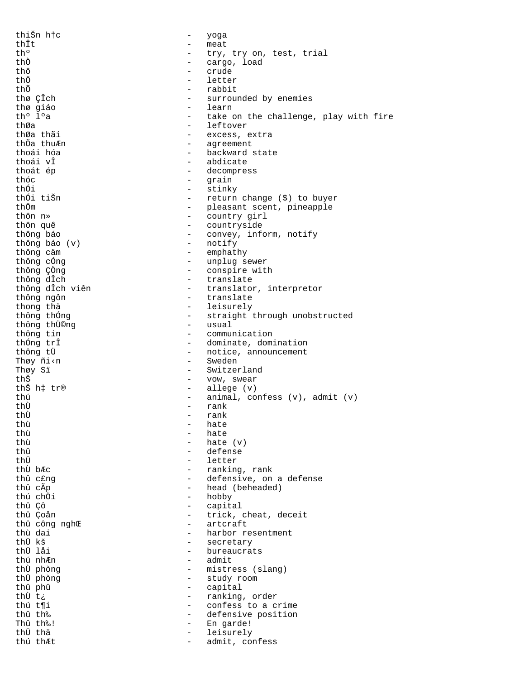thiŠn h†c - yoga thÎt - meat th<sup>o</sup> - try, try on, test, trial<br>thô - cargo, load thÒ - cargo, load<br>
thô - crude thô - crude thÖ - letter<br>thÕ - rabbit thÕ - rabbit<br>thø ÇÎch - surrou: thø ÇÎch - surrounded by enemies thø giáo - learn th<sup>o</sup> l<sup>o</sup>a - take on the challenge, play with fire<br>thØa - leftover thØa - leftover<br>thØa thãi - excess e thØa thãi  $-$  excess, extra<br>thÕa thuÆn  $-$  agreement - agreement thoái hóa  $-$  backward state thoái vÎ - abdicate thoát ép  $\qquad \qquad -$  decompress thóc - grain thối - stinky<br>thối tišn - return thÓi tiŠn - return change (\$) to buyer<br>thÖm - return change (\$) to buyer thÖm  $\begin{array}{ccc}\n & - & \text{pleasant scent, pineapple} \\
\text{thôn} & \text{n} & - & \text{countrv girl}\n\end{array}$ thôn n» - country girl thôn quê  $-$  countryside<br>thông báo  $-$  convey, inf - convey, inform, notify<br>- notify thông báo (v)<br>thông cäm thông căm  $\frac{1}{2}$  - emphathy thông cống  $\frac{1}{2}$  - unplug s - unplug sewer thông ÇÒng<br>
thông dìch<br>
- translate<br>
- translate thông dÎch - translate - translator, interpretor thông ngôn - translate thong thä<br>
thông thống<br>  $\frac{1}{2}$  - leisurely<br>
- straight - straight through unobstructed<br>- usual thông thÜ©ng<br>thông tin thông tin<br>
thông trî<br>
- dominate, dom thÓng trÎ<br>
thông từ<br>
- notice, announcement - notice, announcement Thøy ñi‹n - Sweden Thøy Sï - Switzerland thŠ - vow, swear - allege (v) thú - animal, confess (v), admit (v)<br>
- rank<br>
- rank thÙ - rank<br>thÙ - rank thÙ - rank<br>thù - hate thù - hate thù - hate thù  $-$  hate  $(v)$ <br>thû  $-$  defense thû - defense thÜ - letter - ranking, rank thû c£ng  $\qquad -$  defensive, on a defense thû cÃp  $-$  head (beheaded) thú chÖi - hobby thû Çô - capital thû Çoån  $-$  trick, cheat, deceit<br>thû công nghC  $-$  artcraft thû công nghŒ - artcraft thù dai - harbor resentment thÜ kš - secretary thÜ låi - bureaucrats thú nhÆn - admit thÙ phòng<br>
thÙ phòng<br>
thÙ phòng<br>  $\begin{array}{ccc} - & \text{mistress (slang)} \\ - & \text{study room} \end{array}$ thÜ phòng - study room thû phû  $-$  capital - capital - capital - capital - capital - capital - capital - capital - capital - capital - capital - capital - capital - capital - capital - capital - capital - capital - capital - capital - capital - - ranking, order thú t¶i  $\qquad \qquad \qquad -$  confess to a crime<br>thû th‰ thû th‰<br>Thû th‰! - defensive position<br>- En garde! Thû th‰! - En garde!<br>thÜ thä thÜ thä - leisurely - admit, confess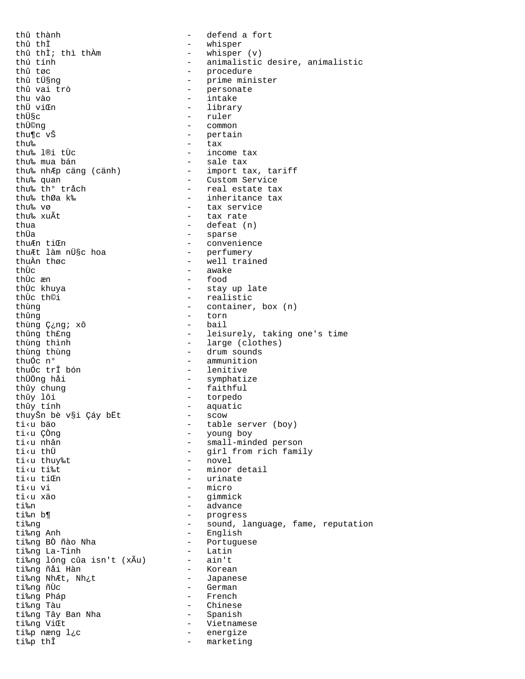thû thành - defend a fort - whisper<br>- whisper (v) thû thÌ; thì thÀm<br>thú tính thú tính - animalistic desire, animalistic<br>thû tøc - procedure thû tøc - procedure thû tܧng - prime minister thû vai trò - personate thu vào - intake thÜ viŒn - library<br>thܧc - library - library thܧc - ruler<br>thÜ©ng - ruler<br>- common thܩng - common thu¶c vŠ - pertain<br>thu‰ - tax - tax thu‰ - tax thu‰ l®i tÙc - income tax thu‰ mua bán - sale tax thu‰ nhÆp cäng (cänh) - import tax, tariff thu‰ quan - Custom Service thu‰ th° tråch - real estate tax thu‰ thØa k‰ - inheritance tax thu‰ vø - tax service thu‰ xuÃt - tax rate thua  $-\qquad$  defeat (n) thÜa - sparse thuÆn tiŒn - convenience thuÆt làm nܧc hoa - perfumery thuÀn thøc - well trained thÙc<br>
thÙc  $\frac{1}{x}$  - awake<br>
thÙc  $\frac{1}{x}$  - food thÙc æn - food thÙc khuya - stay up late thÙc th©i - realistic thùng - container, box (n)<br>thûng - torn - torn - torn<br>- bail thùng Ç¿ng; xô<br>thûng th£ng thûng thêng - leisurely, taking one's time<br>thùng thình - large (clothes) thùng thình  $\frac{1}{2}$  - large (clothes)<br>thùng thùng thùng thùng  $\frac{1}{2}$  - drum sounds thuốc nº  $\frac{1}{2}$  - ammunition thuÓc n° - ammunition - lenitive thÜÖng håi - symphatize thûy chung  $\frac{1}{2}$  - faithful<br>thûy lôi - torpedo thûy lôi 1998 - torpedo 1999 - torpedo 1999 - torpedo 1999 - torpedo 1999 - torpedo 1999 - torpedo 1999 - torpedo 1999 - torpedo 1999 - torpedo 1999 - torpedo 1999 - torpedo 1999 - torpedo 1999 - torpedo 1999 - torpedo 199 thûy tính - aquatic thuyŠn bè v§i Çáy bËt - scow ti<sup>k</sup>u bäo - table server (boy)<br>tiku CÒng - table server (boy) ti‹u ÇÒng - young boy ti‹u nhân - small-minded person ti<u thÜ<br>ti<u thuv‰t - girl from rich family<br>- novel ti<u thuy‰t<br>ti<u ti‰t ti<u ti‰t - minor detail<br>ti<u ti@n - minor detail - urinate ti<u vi - micro ti‹u xäo - gimmick ti‰n - advance ti‰n b¶ - progress ti‰ng - sound, language, fame, reputation ti‰ng Anh - English ti‱ng Ann<br>ti‰ng BÒ ñào Nha - Portuguese<br>ti‰ng La-Tinh - Latin - Latin ti‰ng La-Tinh - Latin ti‰ng lóng cûa isn't (xÃu) - ain't ti‰ng ñåi Hàn - Korean ti‰ng NhÆt, Nh¿t - Japanese ti‰ng ñÙc  $\overline{1}$  - German chang nu den an derman - German chang de den an derman - German - German - German - German - German - German - German - German - German - German - German - German - German - German - German - Ge - French<br>- Chinese ti‰ng Tàu - Chinese ti‰ng Tây Ban Nha<br>ti‰ng ViŒt ti‰ng ViŒt - Vietnamese ti‰p næng l¿c - energize ti‰p thÎ - marketing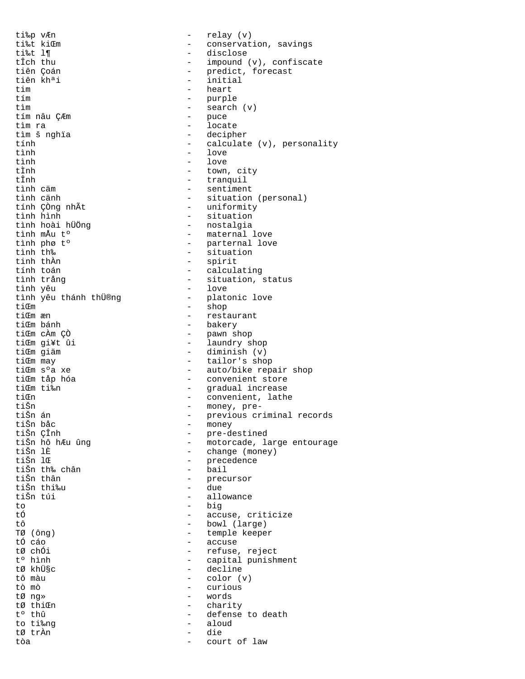ti‰p vÆn - relay (v) ti‰t kiŒm - conservation, savings<br>ti‰t l¶ - conservation, savings ti‰t l¶ - disclose<br>tÎch thu - disclose - impound ( tÎch thu  $-$  impound (v), confiscate<br>tiên Coán  $-$  predict, forecast tiên Çoán - predict, forecast tiên khªi - initial tim - heart tím - purple - search (v)<br>- puce tím nâu ÇÆm tìm ra - locate - decipher tính - calculate (v), personality tình - love tình - love tÌnh - town, city tÎnh - tranquil tình cäm - sentiment tình cänh<br>
tính Çồng nhẫt<br>
- uniformity<br>
- uniformity tính ÇÒng nhÃt - uniformity tình hình<br>tình hoài hÜÖng<br>- nostalqia tình hoài hÜÖng<br>tình mầu t°<br>- maternal tình mÅu tº - maternal love tình phø tº - parternal love tình th‰<br>tinh thần - situation<br>- spirit - spirit tính toán - calculating - situation, status<br>- love tình yêu<br>tình yêu thánh thÜ®ng platonic love tình yêu thánh thÜ®ng<br>tiŒm tiom - shop - shop - shop - shop - shop - shop - shop - shop - shop - shop - shop - shop - shop - shop - shop - shop - shop - shop - shop - shop - shop - shop - shop - shop - shop - shop - shop - shop - shop - shop - shop tiŒm æn - restaurant tiŒm bánh<br>tiŒm cÀm (?)<br>tiŒm cÀm (?) - pawn shop tiŒm gi¥t ûi  $\frac{1}{\pi}$  - laundry shop tiŒm qiãm tiŒm giäm - diminish (v) tiŒm may  $-$  tailor's shop<br>tiŒm s'a xe  $-$  auto/bike rep. - auto/bike repair shop tiŒm tåp hóa - convenient store tiŒm ti‰n - gradual increase tiŒn - convenient, lathe tiŠn - money, pretiŠn án - previous criminal records tiŠn båc - money tiŠn ÇÎnh - pre-destined tiŠn hô hÆu ûng - motorcade, large entourage tiŠn lÈ<br>tiŠn lŒ<br>tiŠn lŒ<br>cedence<br>cedence - precedence<br>- bail tiŠn th‰ chân<br>tiŠn thân - precursor<br>- due tiŠn thi‰u<br>tiŠn túi - allowance to - big<br>tó - accu tÓ - accuse, criticize<br>tô - bowl (large) tô - bowl (large) TØ (ông) - temple keeper tÓ cáo  $\overline{10}$  - accuse  $\overline{10}$  - accuse  $\overline{10}$  - accuse  $\overline{10}$  - refuse. tØ chÓi  $\qquad \qquad -$  refuse, reject<br>tº hình  $\qquad \qquad -$  capital punish tº hình - capital punishment tØ khܧc - decline tô màu - color (v) tò mò - curious - words tØ thiŒn - charity<br>tº thû - defense - defense to death to ti‰ng  $\frac{1}{2}$  - aloud tø trần tØ trÀn - die tòa - court of law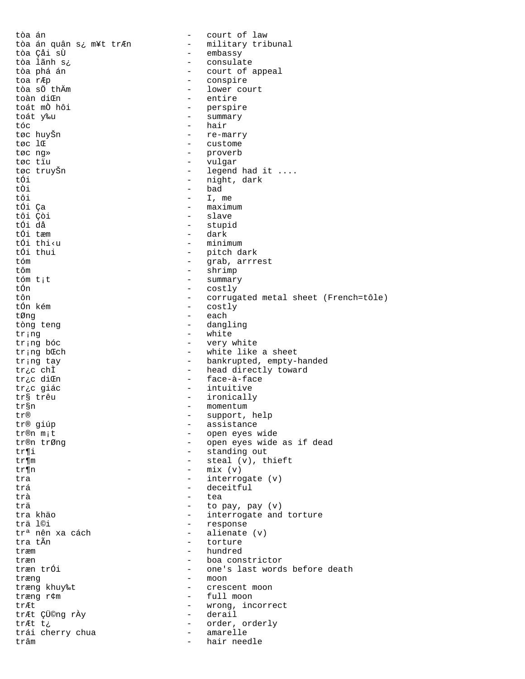tòa án - court of law - military tribunal tòa án quân s¿ m¥t trÆn - embassy tòa Çåi sÙ - consulate tòa lãnh s¿ - court of appeal tòa phá án - conspire toa rÆp - lower court tòa sö thÄm toàn di m - entire - perspire toát mò hôi - summary toát y‰u - hair tóc - re-marry tøc huyŠn  $\frac{1}{2}$ - custome - proverb tøc ng» tøc tïu  $\sim$ vulgar - legend had it .... tøc truyŠn - night, dark tÓi - bad tÒi tôi  $-$  I, me - maximum tói ça - slave tôi Çòi tối då - stupid tói tæm - dark  $-$  minimum tối thi<u - pitch dark tối thui - grab, arrrest tóm - shrimp tôm - summary tóm t<sub>i</sub>t - costly tÓn - corrugated metal sheet (French=tôle) tôn costly tốn kém  $\overline{a}$  $\equiv$ tØng each tòng teng - dangling - white tring tr<sub>i</sub>ng bóc - very white - white like a sheet tr;ng b Cch - bankrupted, empty-handed tr;ng tay - head directly toward tric chÌ - face-à-face tr¿c diŒn - intuitive tr¿c giác - ironically tr§ trêu - momentum tr§n - support, help  $T_T(R)$ - assistance tr® giúp - open eyes wide tr®n m;t - open eyes wide as if dead tr®n trØng - standing out tr¶i - steal (v), thieft tr¶m  $-$  mix (v) tr¶n - interrogate (v) tra - deceitful trá trà  $\sim$  10  $\pm$ tea - to pay, pay (v) trä - interrogate and torture tra khảo - response trä l©i - alienate (v) tr<sup>a</sup> nên xa cách tra tÃn  $\sim$ torture - hundred træm - boa constrictor  $tram$ træn trói - one's last words before death - moon træng træng khuy‰t - crescent moon - full moon træng r¢m - wrong, incorrect trÆt trÆt ÇÜ©ng rÀy - derail - order, orderly trÆt t¿ - amarelle trái cherry chua  $\sim$ hair needle trâm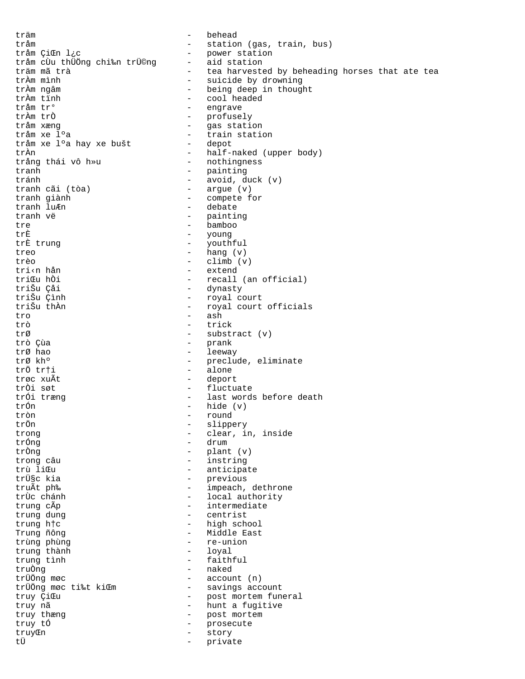träm - behead tråm  $\frac{1}{c}$  - station (gas, train, bus)<br>tråm ÇiCEn l¿c - en power station the power station<br>- aid station tråm cÙu thÜÖng chi‰n trÜ©ng<br>träm mã trà träm mã trà  $\overline{ }$  - tea harvested by beheading horses that ate tea<br>trầm mình  $\overline{ }$  - suicide by drowning trÀm mình - suicide by drowning trÀm ngâm  $\qquad \qquad - \qquad$  being deep in thought<br>trÀm tỉnh  $\qquad \qquad - \qquad$  cool headed trÀm tỉnh  $\frac{1}{2}$  - cool headed trầm tr<sup>o</sup> tråm tr° - engrave trÀm trÒ - profusely tråm xæng - gas station - train station<br>- depot tråm xe l°a hay xe bušt trÀn - half-naked (upper body) trång thái vô h»u  $-$  nothingness tranh - painting tránh - avoid, duck (v) tranh cãi (tòa) - argue (v)<br>tranh giành - compete f tranh giành  $\frac{1}{2}$  - compete for tranh lu $\sum_{n=1}^{\infty}$  - debate tranh luÆn - debate tranh vë - painting tre - bamboo très young<br>Exouth trÈ trung - youthful treo - hang (v) trèo - climb (v) tri‹n hån - extend triCu hÒi  $-$  recall (an official)<br>triŠu Çåi dynasty triŠu Çåi - dynasty triŠu Çình - royal court - royal court officials tro - ash<br>trò - tric trò - trick trØ - substract (v) trò Çùa - prank trØ hao - leeway - leeway - leeway - leeway - leeway - leeway - leeway - leeway - leeway - leeway - leeway - leeway - leeway - leeway - leeway - leeway - leeway - leeway - leeway - leeway - leeway - leeway - leeway - leewa trØ kh<sup>o</sup> - preclude, eliminate<br>trÖ trti - alone - alone trøc xuÃt  $-$  deport trÒi søt - fluctuate trÓi træng - last words before death trÓn - hide (v) tròn - round - slippery trong  $\begin{array}{ccc} - & - & - \\ - & \text{clear, in, inside} \\ \end{array}$ trÓng - drum trÒng - plant (v) trong câu  $\overline{z}$  - instring trù line trù li Cummunicate de la control de la control de la control de la control de la control de la control de la c<br>
truische de la control de la control de la control de la control de la control de la control de la control de - previous truÃt ph‰ - impeach, dethrone trÙc chánh - local authority trung cÃp  $\begin{array}{ccc} - & \text{intermediate} \\ \text{trung dung} & - & \text{centrist} \end{array}$ trung dung - centrist trung h†c<br>Trung ñông - high school<br>- Middle East Trung ñông<br>
trùng phùng<br>
- re-union<br>
- re-union - re-union<br>- loyal trung thành<br>trung tình - faithful truÒng - naked trÜÖng møc - account (n) - savings account truy ÇiŒu - post mortem funeral truy nã - hunt a fugitive truy thæng  $\begin{array}{cccc} - &$  post mortem<br>truy tó  $\begin{array}{cccc} - &$  prosecute truy tÓ - prosecute truyŒn - story tÜ ile birinin birinin birinin birinin birinin birinin birinin birinin birinin birinin birinin birinin birinin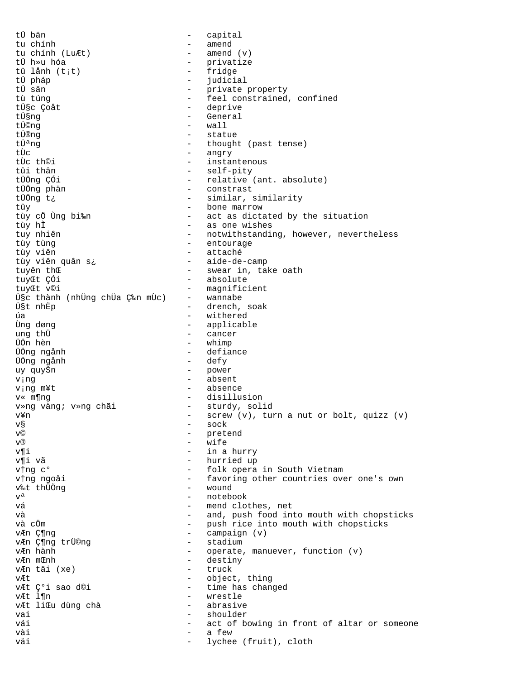tÜ bän capital  $\equiv$  . - amend tu chính  $-$  amend  $(v)$ tu chính (LuÆt) - privatize tÜ h»u hóa - fridge tû lånh (t;t) tÜ pháp  $\sim$ judicial tÜ sän - private property - feel constrained, confined tù túng - deprive tܧc Çoåt - General tܧng tü©na  $-$  wall - statue tܮnq tܪnq - thought (past tense) - angry tÙc - instantenous tÙc th©i tûi thân - self-pity - relative (ant. absolute) tÜÖng ÇÓi - constrast tÜÖng phän - similar, similarity tÜÖng t¿ - bone marrow tûy tùy cổ Ùng bi‰n - act as dictated by the situation - as one wishes tùy hÌ - notwithstanding, however, nevertheless tuy nhiên - entourage tùy tùng - attaché tùy viên tùy viên quân s¿ - aide-de-camp - swear in, take oath tuyên thŒ - absolute tuyŒt ÇÓi - magnificient tuyCt v©i ܧc thành (những chữa ljn mừc)  $\frac{1}{2}$ wannabe - drench, soak USt nhEp - withered úa Ùng døng - applicable - cancer ung thü - whimp ÜÖn hèn - defiance ÜÖng ngånh - defy ÜÖng ngånh - power uy quyŠn - absent ving - absence v;ng m¥t - disillusion v« m¶ng - sturdy, solid v»ng vàng; v»ng chãi - screw (v), turn a nut or bolt, quizz (v) v¥n  $-$  sock  $V^g$ - pretend  $\tau$ C  $T(\widehat{R})$  $\sim$ wife - in a hurry v¶i - hurried up v¶i vã vtng c° - folk opera in South Vietnam v†ng ngoåi - favoring other countries over one's own - wound v‰t thÜÖng - notebook  $\tau$   $\tau$  a - mend clothes, net vá - and, push food into mouth with chopsticks và và cÖm - push rice into mouth with chopsticks  $\omega_{\rm{max}}$ vÆn Ƕng campaign (v) - stadium vÆn Ƕng trÜ©ng - operate, manuever, function (v) vÆn hành - destiny v*F*n monh vÆn täi (xe) - truck - object, thing  $\nabla F$ vÆt ǰi sao d©i - time has changed - wrestle vÆt l¶n - abrasive vÆt liŒu dùng chà  $\sim$ vai shoulder vái  $\equiv$ act of bowing in front of altar or someone vài a few lychee (fruit), cloth väi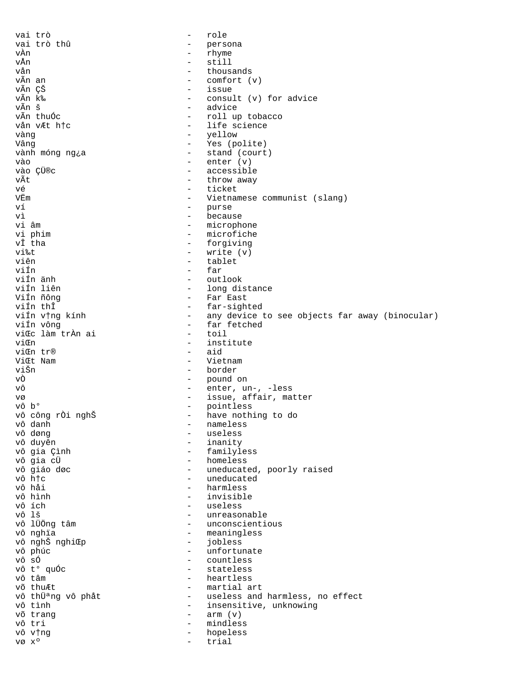vai trò role  $\qquad \qquad$ vai trò thû  $\equiv$ persona - rhyme vÀn  $-$  still vÅn vån thousands  $\sim$ vÃn an - comfort (v) - issue vẫn ÇŠ vÃn k‰ - consult (v) for advice - advice vÃn š vẫn thuốc - roll up tobacco vån vÆt htc - life science - yellow vàng - Yes (polite) Vânq - stand (court) vành móng ng¿a  $-$  enter  $(v)$ vào - accessible vào ÇÜ®c vÃt - throw away vé  $\overline{a}$ ticket VËm - Vietnamese communist (slang) - purse ví - because vì vi âm - microphone - microfiche vi phim - forgiving vî tha - write (v) vi‰t viên - tablet - far viÍn viÍn änh - outlook - long distance viín liên - Far East Viín ñông - far-sighted viÍn thÎ viín v†ng kính - any device to see objects far away (binocular) - far fetched viÍn vông  $-$  toil viŒc làm trần ai - institute viŒn  $-$  aid viŒn tr® ViŒt Nam  $-$  Vietnam viŠn - border - pound on<br>- enter, un-, -less vÒ vô - issue, affair, matter VØ - pointless vô b° - have nothing to do vô công rồi nghŠ - nameless vô danh vô døng - useless - inanity vô duyên - familyless vô gia Çình - homeless vô gia cÜ vô giáo døc - uneducated, poorly raised vô h†c - uneducated - harmless vô hải - invisible vô hình - useless vô ích vô lš - unreasonable vô lÜÖng tâm - unconscientious - meaningless vô nghĩa vô nghŠ nghiŒp  $\frac{1}{2}$  and  $\frac{1}{2}$ jobless vô phúc - unfortunate - countless vô sÓ vô t° quốc - stateless - heartless vô tâm võ thuÆt - martial art vô thữ<sup>a</sup>ng vô phåt - useless and harmless, no effect - insensitive, unknowing vô tình  $-$  arm  $(v)$ võ trang vô tri - mindless vô v†ng hopeless  $\sim$  $V\emptyset\ X^0$  $\sim$ trial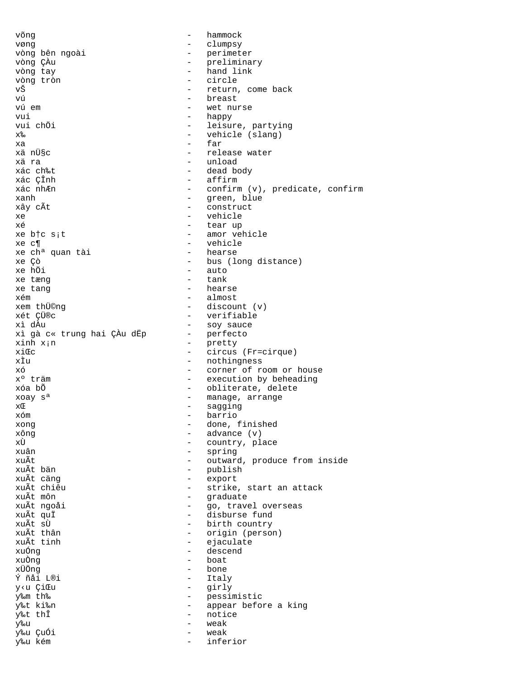võng  $\sim$  hammock vøng - clumpsy vòng bên ngoài - perimeter vòng ÇÀu - preliminary vòng tay - hand link vòng tròn - circle vŠ - return, come back vú - breast wet nurse vui - happy<br>
vui chÖi - happy - happy<br>
- leisu: vui chÖi - leisure, partying<br>
x% - vehicle (slang) - vehicle (slang)  $x^2$  - far xä nܧc  $\qquad \qquad -$  release water xä ra - unload xác ch‰t<br>xác çÎnh - dead body<br>- affirm xác ÇÎnh - affirm - confirm (v), predicate, confirm xanh - green, blue<br>xây cÃt - construct - construct - construct xe - vehicle xé - tear up - amor vehicle<br>- vehicle xe c¶ - vehicle xe ch<sup>a</sup> quan tài<br>xe Çò - bus (long distance) xe hÖi - auto - tank xe tang  $\sim$  - hearse xém - almost xem thܩng - discount (v) xét ÇÜ®c - verifiable - soy sauce<br>- perfecto xì gà c« trung hai ÇÀu dËp<br>xinh x<sub>i</sub>n - pretty  $xi\mathbb{C}$  - circus (Fr=cirque)<br> $x\overline{1}$  - nothingness xÌu - nothingness<br>xó - corner of r xó  $x^{\circ}$  tråm execution by beheading - execution by beheading xóa bÕ  $-$  obliterate, delete xoay  $s^a$  - manage, arrange  $x \in \mathbb{R}$  arrange  $x \in \mathbb{R}$  arrange  $x^a$ xC - sagging xóm - barrio xong - done, finished xông - advance (v) xÙ - country, place<br>xuân - spring - spring xuân - spring - spring - spring - spring - spring - spring - spring - spring - spring - spring - spring - spring - spring - spring - spring - spring - spring - spring - spring - spring - spring - spring - spring - spring xuÃt - outward, produce from inside xuÃt bắn<br>xuẤt căng - publish - publish - publish - export xuÃt chiêu  $-$  strike, start an attack xuÃt môn - graduate xuÃt ngoåi - go, travel overseas xuÃt quÏ<br>xuÃt sÙ - disburse fund<br>- birth country xuÃt sÙ - birth country xuÃt thân  $\begin{array}{cccc} xu\tilde{A}t & tanh & - & \text{original} & \text{e}t\end{array}$ xuÃt tinh - ejaculate xuÓng - descend xuÒng - boat xÜÖng - bone Ý ñåi L®i - Italy y‹u ÇiŒu - girly - pessimistic y‰t ki‰n - appear before a king y‰t thÎ - notice y‰u - weak y‰u ÇuÓi - weak y‰u kém - inferior